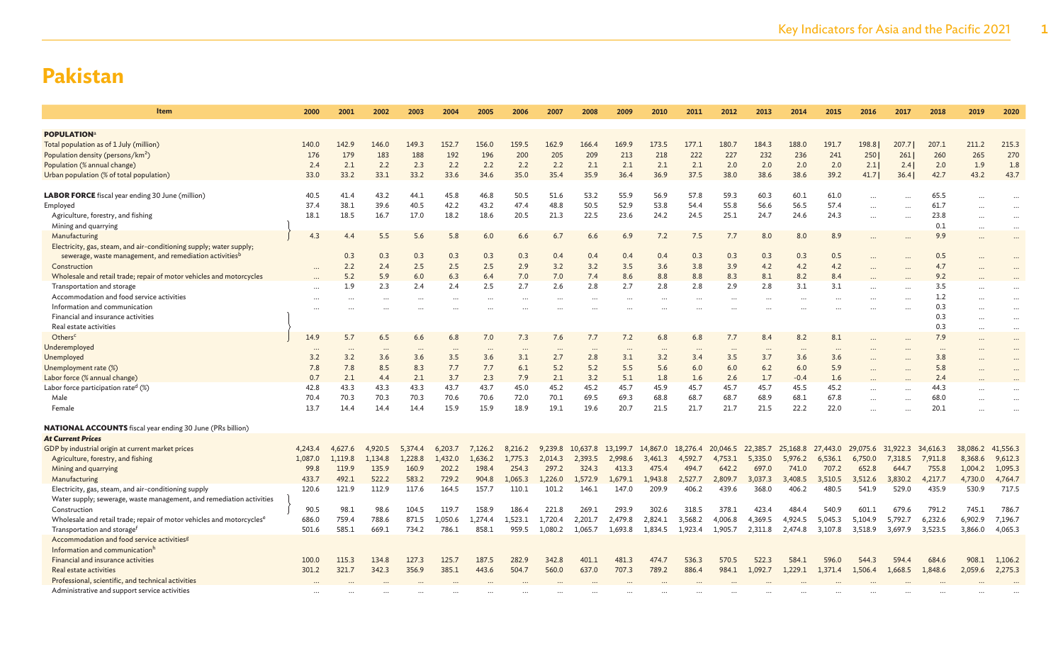| Item                                                                                                                         | 2000           | 2001           | 2002             | 2003             | 2004             | 2005             | 2006             | 2007             | 2008             | 2009             | 2010             | 2011             | 2012             | 2013             | 2014             | 2015             | 2016             | 2017             | 2018             | 2019             | 2020             |
|------------------------------------------------------------------------------------------------------------------------------|----------------|----------------|------------------|------------------|------------------|------------------|------------------|------------------|------------------|------------------|------------------|------------------|------------------|------------------|------------------|------------------|------------------|------------------|------------------|------------------|------------------|
|                                                                                                                              |                |                |                  |                  |                  |                  |                  |                  |                  |                  |                  |                  |                  |                  |                  |                  |                  |                  |                  |                  |                  |
| <b>POPULATION</b> <sup>a</sup>                                                                                               |                |                |                  |                  |                  |                  |                  |                  |                  |                  |                  |                  |                  |                  |                  |                  |                  |                  |                  |                  |                  |
| Total population as of 1 July (million)                                                                                      | 140.0          | 142.9          | 146.0            | 149.3            | 152.7            | 156.0            | 159.5            | 162.9            | 166.4            | 169.9            | 173.5            | 177.1            | 180.7            | 184.3            | 188.0            | 191.7            | 198.8            | 207.7            | 207.1            | 211.2            | 215.3            |
| Population density (persons/km <sup>2</sup> )                                                                                | 176            | 179            | 183              | 188              | 192              | 196              | 200              | 205              | 209              | 213              | 218              | 222              | 227              | 232              | 236              | 241              | 250              | 261              | 260              | 265              | 270              |
| Population (% annual change)                                                                                                 | 2.4            | 2.1            | 2.2              | 2.3              | 2.2              | 2.2              | 2.2              | 2.2              | 2.1              | 2.1              | 2.1              | 2.1              | 2.0              | 2.0              | 2.0              | 2.0              | 2.1              | 2.4              | 2.0              | 1.9              | 1.8              |
| Urban population (% of total population)                                                                                     | 33.0           | 33.2           | 33.1             | 33.2             | 33.6             | 34.6             | 35.0             | 35.4             | 35.9             | 36.4             | 36.9             | 37.5             | 38.0             | 38.6             | 38.6             | 39.2             | 41.7             | 36.4             | 42.7             | 43.2             | 43.7             |
| LABOR FORCE fiscal year ending 30 June (million)                                                                             | 40.5           | 41.4           | 43.2             | 44.1             | 45.8             | 46.8             | 50.5             | 51.6             | 53.2             | 55.9             | 56.9             | 57.8             | 59.3             | 60.3             | 60.1             | 61.0             |                  |                  | 65.5             |                  |                  |
| Employed                                                                                                                     | 37.4           | 38.1           | 39.6             | 40.5             | 42.2             | 43.2             | 47.4             | 48.8             | 50.5             | 52.9             | 53.8             | 54.4             | 55.8             | 56.6             | 56.5             | 57.4             |                  |                  | 61.7             | $\ddotsc$        | $\ddots$         |
| Agriculture, forestry, and fishing                                                                                           | 18.1           | 18.5           | 16.7             | 17.0             | 18.2             | 18.6             | 20.5             | 21.3             | 22.5             | 23.6             | 24.2             | 24.5             | 25.1             | 24.7             | 24.6             | 24.3             |                  |                  | 23.8             |                  |                  |
| Mining and quarrying                                                                                                         |                |                |                  |                  |                  |                  |                  |                  |                  |                  |                  |                  |                  |                  |                  |                  |                  |                  | 0.1              |                  |                  |
| Manufacturing                                                                                                                | 4.3            | 4.4            | 5.5              | 5.6              | 5.8              | 6.0              | 6.6              | 6.7              | 6.6              | 6.9              | 7.2              | 7.5              | 7.7              | 8.0              | 8.0              | 8.9              |                  |                  | 9.9              | $\ddotsc$        | $\ddotsc$        |
| Electricity, gas, steam, and air-conditioning supply; water supply;                                                          |                |                |                  |                  |                  |                  |                  |                  |                  |                  |                  |                  |                  |                  |                  |                  |                  |                  |                  |                  |                  |
| sewerage, waste management, and remediation activities <sup>b</sup>                                                          |                | 0.3            | 0.3              | 0.3              | 0.3              | 0.3              | 0.3              | 0.4              | 0.4              | 0.4              | 0.4              | 0.3              | 0.3              | 0.3              | 0.3              | 0.5              |                  |                  | 0.5              |                  |                  |
| Construction                                                                                                                 |                | 2.2            | 2.4              | 2.5              | 2.5              | 2.5              | 2.9              | 3.2              | 3.2              | 3.5              | 3.6              | 3.8              | 3.9              | 4.2              | 4.2              | 4.2              |                  |                  | 4.7              |                  |                  |
| Wholesale and retail trade; repair of motor vehicles and motorcycles                                                         |                | 5.2            | 5.9              | 6.0              | 6.3              | 6.4              | 7.0              | 7.0              | 7.4              | 8.6              | 8.8              | 8.8              | 8.3              | 8.1              | 8.2              | 8.4              |                  |                  | 9.2              |                  |                  |
| Transportation and storage                                                                                                   |                | 1.9            | 2.3              | 2.4              | 2.4              | 2.5              | 2.7              | 2.6              | 2.8              | 2.7              | 2.8              | 2.8              | 2.9              | 2.8              | 3.1              | 3.1              |                  |                  | 3.5              |                  | $\ddotsc$        |
| Accommodation and food service activities                                                                                    | $\cdots$       |                |                  |                  | $\cdots$         |                  |                  |                  |                  | $\cdots$         | $\cdots$         |                  |                  | $\cdots$         | $\ddotsc$        | $\cdots$         |                  |                  | 1.2              |                  | $\ddotsc$        |
| Information and communication                                                                                                |                |                |                  |                  |                  |                  |                  |                  |                  |                  |                  |                  |                  |                  |                  |                  |                  |                  | 0.3              |                  |                  |
| Financial and insurance activities                                                                                           |                |                |                  |                  |                  |                  |                  |                  |                  |                  |                  |                  |                  |                  |                  |                  |                  |                  | 0.3              |                  |                  |
| Real estate activities                                                                                                       |                |                |                  |                  |                  |                  |                  |                  |                  |                  |                  |                  |                  |                  |                  |                  |                  |                  | 0.3              |                  | $\ddotsc$        |
| Others <sup>c</sup>                                                                                                          | 14.9           | 5.7            | 6.5              | 6.6              | 6.8              | 7.0              | 7.3              | 7.6              | 7.7              | 7.2              | 6.8              | 6.8              | 7.7              | 8.4              | 8.2              | 8.1              |                  |                  | 7.9              | $\ddotsc$        | $\ddotsc$        |
| Underemployed                                                                                                                | $\cdots$       | $\cdots$       |                  |                  | $\cdots$         |                  | $\ddotsc$        | $\cdots$         | $\ddotsc$        | $\cdots$         |                  |                  | $\cdots$         |                  | $\cdots$         | $\cdots$         |                  |                  | $\cdots$         |                  | $\ddotsc$        |
| Unemployed                                                                                                                   | 3.2            | 3.2            | 3.6              | 3.6              | 3.5              | 3.6              | 3.1              | 2.7              | 2.8              | 3.1              | 3.2              | 3.4              | 3.5              | 3.7              | 3.6              | 3.6              |                  |                  | 3.8              |                  |                  |
| Unemployment rate (%)                                                                                                        | 7.8            | 7.8            | 8.5              | 8.3              | 7.7              | 7.7              | 6.1              | 5.2              | 5.2              | 5.5              | 5.6              | 6.0              | 6.0              | 6.2              | 6.0              | 5.9              |                  |                  | 5.8              |                  |                  |
| Labor force (% annual change)                                                                                                | 0.7            | 2.1            | 4.4              | 2.1              | 3.7              | 2.3              | 7.9              | 2.1              | 3.2              | 5.1              | 1.8              | 1.6              | 2.6              | 1.7              | $-0.4$           | 1.6              |                  |                  | 2.4              |                  |                  |
| Labor force participation rate <sup>d</sup> (%)                                                                              | 42.8           | 43.3           | 43.3             | 43.3             | 43.7             | 43.7             | 45.0             | 45.2             | 45.2             | 45.7             | 45.9             | 45.7             | 45.7             | 45.7             | 45.5             | 45.2             |                  |                  | 44.3             |                  |                  |
| Male                                                                                                                         | 70.4           | 70.3           | 70.3             | 70.3             | 70.6             | 70.6             | 72.0             | 70.1             | 69.5             | 69.3             | 68.8             | 68.7             | 68.7             | 68.9             | 68.1             | 67.8             |                  |                  | 68.0             |                  |                  |
| Female                                                                                                                       | 13.7           | 14.4           | 14.4             | 14.4             | 15.9             | 15.9             | 18.9             | 19.1             | 19.6             | 20.7             | 21.5             | 21.7             | 21.7             | 21.5             | 22.2             | 22.0             |                  |                  | 20.1             |                  |                  |
|                                                                                                                              |                |                |                  |                  |                  |                  |                  |                  |                  |                  |                  |                  |                  |                  |                  |                  |                  |                  |                  |                  |                  |
| <b>NATIONAL ACCOUNTS</b> fiscal year ending 30 June (PRs billion)                                                            |                |                |                  |                  |                  |                  |                  |                  |                  |                  |                  |                  |                  |                  |                  |                  |                  |                  |                  |                  |                  |
| <b>At Current Prices</b>                                                                                                     |                |                |                  |                  |                  |                  |                  |                  |                  |                  |                  |                  |                  |                  |                  |                  |                  |                  |                  |                  |                  |
| GDP by industrial origin at current market prices                                                                            | 4,243.4        | 4,627.6        | 4,920.5          | 5,374.4          | 6,203.7          | 7,126.2          | 8,216.2          | 9,239.8          | 10,637.8         | 13,199.7         | 14,867.0         | 18,276.4         | 20,046.5         | 22,385.7         | 25,168.8         | 27,443.0         | 29,075.6         | 31,922.3         | 34,616.3         | 38,086.2         | 41,556.3         |
| Agriculture, forestry, and fishing                                                                                           | 1,087.0        | 1,119.8        | 1,134.8<br>135.9 | 1,228.8<br>160.9 | 1,432.0<br>202.2 | 1,636.2<br>198.4 | 1,775.3<br>254.3 | 2,014.3          | 2,393.5          | 2,998.6          | 3,461.3          | 4,592.7          | 4,753.1          | 5,335.0<br>697.0 | 5,976.2          | 6,536.1          | 6,750.0          | 7,318.5          | 7,911.8<br>755.8 | 8,368.6          | 9,612.3          |
| Mining and quarrying                                                                                                         | 99.8           | 119.9<br>492.1 |                  |                  |                  |                  |                  | 297.2            | 324.3            | 413.3            | 475.4            | 494.7            | 642.2            |                  | 741.0            | 707.2            | 652.8            | 644.7            |                  | 1,004.2          | 1,095.3          |
| Manufacturing                                                                                                                | 433.7<br>120.6 | 121.9          | 522.2<br>112.9   | 583.2<br>117.6   | 729.2<br>164.5   | 904.8<br>157.7   | 1,065.3<br>110.1 | 1.226.0<br>101.2 | 1,572.9<br>146.1 | 1.679.1<br>147.0 | 1,943.8<br>209.9 | 2,527.7<br>406.2 | 2,809.7<br>439.6 | 3,037.3<br>368.0 | 3,408.5<br>406.2 | 3,510.5<br>480.5 | 3,512.6<br>541.9 | 3.830.2<br>529.0 | 4,217.7<br>435.9 | 4,730.0<br>530.9 | 4,764.7<br>717.5 |
| Electricity, gas, steam, and air-conditioning supply<br>Water supply; sewerage, waste management, and remediation activities |                |                |                  |                  |                  |                  |                  |                  |                  |                  |                  |                  |                  |                  |                  |                  |                  |                  |                  |                  |                  |
| Construction                                                                                                                 | 90.5           | 98.1           | 98.6             | 104.5            | 119.7            | 158.9            | 186.4            | 221.8            | 269.1            | 293.9            | 302.6            | 318.5            | 378.1            | 423.4            | 484.4            | 540.9            | 601.1            | 679.6            | 791.2            | 745.1            | 786.7            |
| Wholesale and retail trade; repair of motor vehicles and motorcycles <sup>e</sup>                                            | 686.0          | 759.4          | 788.6            | 871.5            | 1.050.6          | 1.274.4          | 1.523.1          | 1.720.4          | 2.201.7          | 2.479.8          | 2.824.1          | 3.568.2          | 4,006.8          | 4,369.5          | 4,924.5          | 5.045.3          | 5.104.9          | 5.792.7          | 6,232.6          | 6.902.9          | 7,196.7          |
| Transportation and storage <sup>1</sup>                                                                                      | 501.6          | 585.1          | 669.1            | 734.2            | 786.1            | 858.1            | 959.5            | 1,080.2          | 1,065.7          | 1,693.8          | 1,834.5          | 1,923.4          | 1,905.7          | 2,311.8          | 2,474.8          | 3,107.8          | 3,518.9          | 3,697.9          | 3,523.5          | 3,866.0          | 4,065.3          |
| Accommodation and food service activities <sup>8</sup>                                                                       |                |                |                  |                  |                  |                  |                  |                  |                  |                  |                  |                  |                  |                  |                  |                  |                  |                  |                  |                  |                  |
| Information and communicationh                                                                                               |                |                |                  |                  |                  |                  |                  |                  |                  |                  |                  |                  |                  |                  |                  |                  |                  |                  |                  |                  |                  |
| Financial and insurance activities                                                                                           | 100.0          | 115.3          | 134.8            | 127.3            | 125.7            | 187.5            | 282.9            | 342.8            | 401.1            | 481.3            | 474.7            | 536.3            | 570.5            | 522.3            | 584.1            | 596.0            | 544.3            | 594.4            | 684.6            | 908.1            | 1,106.2          |
| Real estate activities                                                                                                       | 301.2          | 321.7          | 342.3            | 356.9            | 385.1            | 443.6            | 504.7            | 560.0            | 637.0            | 707.3            | 789.2            | 886.4            | 984.1            | 1.092.7          | 1.229.1          | 1.371.4          | 1,506.4          | 1.668.5          | 1,848.6          | 2,059.6          | 2,275.3          |
| Professional, scientific, and technical activities                                                                           |                |                |                  |                  |                  |                  |                  |                  |                  |                  |                  |                  |                  |                  |                  |                  |                  |                  |                  |                  |                  |
| Administrative and support service activities                                                                                |                |                |                  |                  |                  |                  |                  |                  |                  |                  |                  |                  |                  |                  |                  |                  |                  |                  |                  |                  |                  |
|                                                                                                                              |                |                |                  |                  |                  |                  |                  |                  |                  |                  |                  |                  |                  |                  |                  |                  |                  |                  |                  |                  |                  |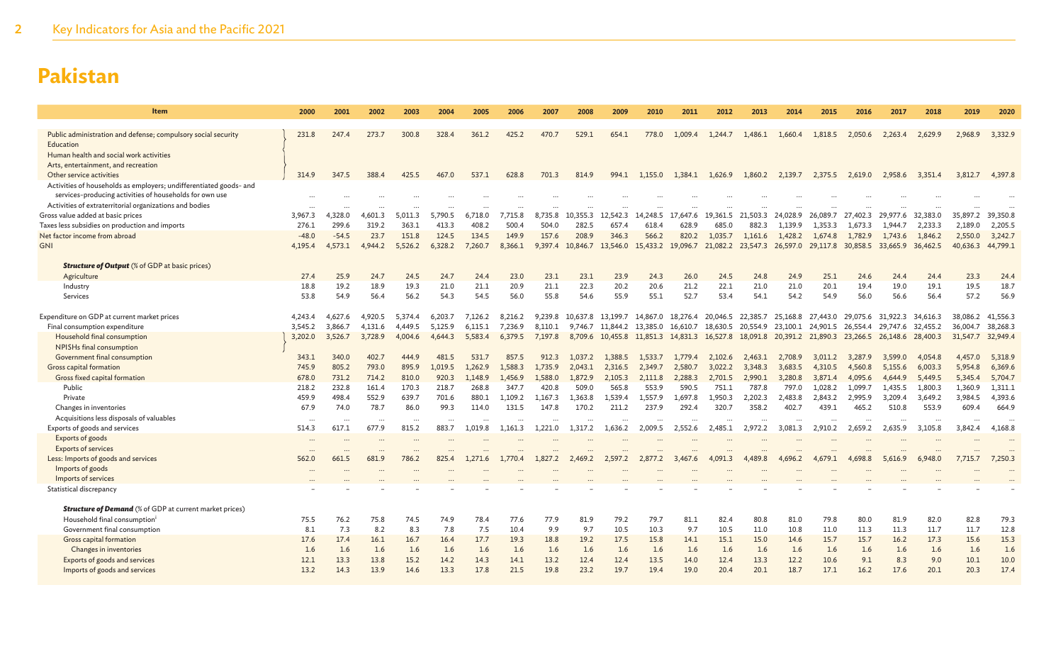| Item                                                                                                                          | 2000             | 2001             | 2002              | 2003               | 2004               | 2005           | 2006           | 2007           | 2008           | 2009              | 2010                                                                            | 2011           | 2012             | 2013                | 2014                | 2015                | 2016                | 2017                | 2018                | 2019               | 2020               |
|-------------------------------------------------------------------------------------------------------------------------------|------------------|------------------|-------------------|--------------------|--------------------|----------------|----------------|----------------|----------------|-------------------|---------------------------------------------------------------------------------|----------------|------------------|---------------------|---------------------|---------------------|---------------------|---------------------|---------------------|--------------------|--------------------|
| Public administration and defense; compulsory social security                                                                 | 231.8            | 247.4            | 273.7             | 300.8              | 328.4              | 361.2          | 425.2          | 470.7          | 529.1          | 654.1             | 778.0                                                                           | 1.009.4        | 1,244.7          | 1,486.1             | 1,660.4             | 1,818.5             | 2,050.6             | 2.263.4             | 2,629.9             | 2,968.9            | 3,332.9            |
| Education                                                                                                                     |                  |                  |                   |                    |                    |                |                |                |                |                   |                                                                                 |                |                  |                     |                     |                     |                     |                     |                     |                    |                    |
| Human health and social work activities                                                                                       |                  |                  |                   |                    |                    |                |                |                |                |                   |                                                                                 |                |                  |                     |                     |                     |                     |                     |                     |                    |                    |
| Arts, entertainment, and recreation                                                                                           |                  |                  |                   |                    |                    |                |                |                |                |                   |                                                                                 |                |                  |                     |                     |                     |                     |                     |                     |                    |                    |
| Other service activities                                                                                                      | 314.9            | 347.5            | 388.4             | 425.5              | 467                | 537.1          | 628.8          | 701.3          | 814.9          | 994.1             | 1,155.0                                                                         |                | 1,384.1 1,626.9  | 1,860.2             | 2.139.7             | 2,375.5             | 2,619.0             | 2,958.6             | 3,351.4             | 3,812.7            | 4,397.8            |
| Activities of households as employers; undifferentiated goods- and<br>services-producing activities of households for own use |                  |                  |                   |                    |                    |                |                |                |                |                   |                                                                                 |                |                  |                     |                     |                     |                     |                     |                     |                    |                    |
| Activities of extraterritorial organizations and bodies                                                                       |                  |                  |                   |                    |                    |                |                |                |                |                   |                                                                                 |                |                  |                     |                     |                     |                     |                     |                     |                    |                    |
| Gross value added at basic prices                                                                                             | 3.967.3          | 4,328.0          | 4.601.3           | 5.011.3            | 5.790.5            | 6.718.0        | 7.715.8        | 8,735.8        | 10.355.3       | 12.542.3          | 14,248.5                                                                        | 17.647.6       | 19.361.5         | 21.503.3            | 24,028.9            | 26,089.7            | 27,402.3            | 29,977.6            | 32,383.0            | 35,897.2           | 39,350.8           |
| Taxes less subsidies on production and imports<br>Net factor income from abroad                                               | 276.1<br>$-48.0$ | 299.6<br>$-54.5$ | 319.2<br>23.7     | 363.1<br>151.8     | 413.3<br>124.5     | 408.2<br>134.5 | 500.4<br>149.9 | 504.0<br>157.6 | 282.5<br>208.9 | 657.4             | 618.4<br>566.2                                                                  | 628.9<br>820.2 | 685.0<br>1.035.7 | 882.3               | 1.139.9             | 1.353.3             | 1,673.3             | 1.944.7             | 2.233.3             | 2,189.0<br>2,550.0 | 2,205.5<br>3,242.7 |
| <b>GNI</b>                                                                                                                    | 4,195.4          | 4,573.1          | 4,944.2           | 5,526.2            | 6,328.2            | 7,260.7        | 8,366.1        | 9,397.4        | 10,846.7       | 346.3<br>13,546.0 | 15,433.2                                                                        | 19,096.7       | 21,082.2         | 1,161.6<br>23,547.3 | 1,428.2<br>26,597.0 | 1,674.8<br>29,117.8 | 1,782.9<br>30,858.5 | 1,743.6<br>33,665.9 | 1,846.2<br>36,462.5 | 40,636.3           | 44,799.1           |
|                                                                                                                               |                  |                  |                   |                    |                    |                |                |                |                |                   |                                                                                 |                |                  |                     |                     |                     |                     |                     |                     |                    |                    |
| <b>Structure of Output</b> (% of GDP at basic prices)                                                                         |                  |                  |                   |                    |                    |                |                |                |                |                   |                                                                                 |                |                  |                     |                     |                     |                     |                     |                     |                    |                    |
| Agriculture                                                                                                                   | 27.4             | 25.9             | 24.7              | 24.5               | 24.7               | 24.4           | 23.0           | 23.1           | 23.1           | 23.9              | 24.3                                                                            | 26.0           | 24.5             | 24.8                | 24.9                | 25.1                | 24.6                | 24.4                | 24.4                | 23.3               | 24.4               |
| Industry                                                                                                                      | 18.8             | 19.2             | 18.9              | 19.3               | 21.0               | 21.1           | 20.9           | 21.1           | 22.3           | 20.2              | 20.6                                                                            | 21.2           | 22.1             | 21.0                | 21.0                | 20.1                | 19.4                | 19.0                | 19.1                | 19.5               | 18.7               |
| Services                                                                                                                      | 53.8             | 54.9             | 56.4              | 56.2               | 54.3               | 54.5           | 56.0           | 55.8           | 54.6           | 55.9              | 55.1                                                                            | 52.7           | 53.4             | 54.1                | 54.2                | 54.9                | 56.0                | 56.6                | 56.4                | 57.2               | 56.9               |
| Expenditure on GDP at current market prices                                                                                   | 4,243.4          | 4,627.6          | 4,920.5           | 5.374.4            | 6.203.7            | 7,126.2        | 8,216.2        | 9,239.8        | 10,637.8       | 13,199.7          | 14,867.0 18,276.4 20,046.5 22,385.7                                             |                |                  |                     | 25,168.8            | 27,443.0            | 29,075.6            | 31.922.3            | 34,616.3            | 38,086.2           | 41,556.3           |
| Final consumption expenditure                                                                                                 | 3,545.2          | 3,866.7          | 4,131.6           | 4,449.5            | 5,125.9            | 6,115.1        | 7,236.9        | 8,110.1        | 9,746.7        | 11,844.2          | 13,385.0                                                                        | 16,610.7       | 18,630.5         | 20,554.9            | 23,100.1            | 24,901.5            | 26.554.4            | 29.747.6            | 32,455.2            | 36,004.7           | 38,268.3           |
| Household final consumption                                                                                                   | 3,202.0          | 3,526.7          | 3,728.9           | 4,004.6            | 4,644.3            | 5,583.4        | 6,379.5        | 7,197.8        |                |                   | 8,709.6 10,455.8 11,851.3 14,831.3 16,527.8 18,091.8 20,391.2 21,890.3 23,266.5 |                |                  |                     |                     |                     |                     | 26,148.6 28,400.3   |                     | 31,547.7           | 32,949.4           |
| NPISHs final consumption                                                                                                      |                  |                  |                   |                    |                    |                |                |                |                |                   |                                                                                 |                |                  |                     |                     |                     |                     |                     |                     |                    |                    |
| Government final consumption                                                                                                  | 343.1            | 340.0            | 402.7             | 444.9              | 481.5              | 531.7          | 857.5          | 912.3          | 1.037.2        | 1.388.5           | 1.533.7                                                                         | 1.779.4        | 2,102.6          | 2,463.1             | 2,708.9             | 3.011.2             | 3,287.9             | 3,599.0             | 4,054.8             | 4,457.0            | 5,318.9            |
| Gross capital formation                                                                                                       | 745.9            | 805.2            | 793.0             | 895.9              | 1,019.5            | 1,262.9        | 1,588.3        | 1,735.9        | 2,043.1        | 2,316.5           | 2,349.7                                                                         | 2,580.7        | 3,022.2          | 3,348.3             | 3,683.5             | 4,310.5             | 4,560.8             | 5,155.6             | 6,003.3             | 5,954.8            | 6,369.6            |
| Gross fixed capital formation                                                                                                 | 678.0            | 731.2            | 714.2             | 810.0              | 920.3              | 1,148.9        | 1,456.9        | 1,588.0        | 1,872.9        | 2,105.3           | 2,111.8                                                                         | 2,288.3        | 2,701.5          | 2,990.1             | 3,280.8             | 3,871.4             | 4,095.6             | 4,644.9             | 5,449.5             | 5,345.4            | 5,704.7            |
| Public                                                                                                                        | 218.2            | 232.8            | 161.4             | 170.3              | 218.7              | 268.8          | 347.7          | 420.8          | 509.0          | 565.8             | 553.9                                                                           | 590.5          | 751.1            | 787.8               | 797.0               | 1,028.2             | 1,099.7             | 1,435.5             | 1,800.3             | 1,360.9            | 1,311.1            |
| Private                                                                                                                       | 459.9            | 498.4            | 552.9             | 639.7              | 701.6              | 880.1          | 1.109.2        | 1.167.3        | 1.363.8        | 1.539.4           | 1.557.9                                                                         | 1.697.8        | 1.950.3          | 2.202.3             | 2.483.8             | 2.843.2             | 2.995.9             | 3,209.4             | 3.649.2             | 3.984.5            | 4,393.6            |
| Changes in inventories                                                                                                        | 67.9             | 74.0             | 78.7              | 86.0               | 99.3               | 114.0          | 131.5          | 147.8          | 170.2          | 211.2             | 237.9                                                                           | 292.4          | 320.7            | 358.2               | 402.7               | 439.1               | 465.2               | 510.8               | 553.9               | 609.4              | 664.9              |
| Acquisitions less disposals of valuables                                                                                      | .                | $\cdots$         | $\ddots$<br>677.9 | $\cdot$ .<br>815.2 | $\ddotsc$<br>883.7 |                | 1.161.3        |                |                |                   |                                                                                 |                | 2.485.1          |                     | 3.081.3             |                     | 2.659.2             | 2.635.9             | $\cdots$            |                    | 4,168.8            |
| Exports of goods and services<br>Exports of goods                                                                             | 514.3            | 617.1            |                   |                    |                    | 1,019.8        |                | 1.221.0        | 1,317.2        | 1,636.2           | 2,009.5                                                                         | 2,552.6        |                  | 2,972.2             |                     | 2,910.2             |                     |                     | 3,105.8             | 3,842.4            |                    |
| <b>Exports of services</b>                                                                                                    | $\ddots$         |                  |                   |                    |                    |                |                |                |                |                   |                                                                                 |                |                  |                     |                     |                     |                     |                     |                     |                    |                    |
| Less: Imports of goods and services                                                                                           | 562.0            | 661.5            | 681.9             | 786.2              | 825.4              | 1,271.6        | 1,770.4        | 1,827.2        | 2,469.2        | 2,597.2           | 2,877.2                                                                         | 3,467.6        | 4,091.3          | 4,489.8             | 4,696.2             | 4,679.1             | 4,698.8             | 5,616.9             | 6,948.0             | 7,715.7            | 7,250.3            |
| Imports of goods                                                                                                              | $\cdots$         |                  |                   |                    |                    |                |                |                |                |                   |                                                                                 |                |                  |                     |                     |                     |                     |                     |                     |                    |                    |
| Imports of services                                                                                                           |                  |                  |                   |                    |                    |                |                |                |                |                   |                                                                                 |                |                  |                     |                     |                     |                     |                     |                     |                    |                    |
| Statistical discrepancy                                                                                                       |                  |                  |                   |                    |                    |                |                |                |                |                   |                                                                                 |                |                  |                     |                     |                     |                     |                     |                     |                    |                    |
| <b>Structure of Demand</b> (% of GDP at current market prices)                                                                |                  |                  |                   |                    |                    |                |                |                |                |                   |                                                                                 |                |                  |                     |                     |                     |                     |                     |                     |                    |                    |
| Household final consumption <sup>i</sup>                                                                                      | 75.5             | 76.2             | 75.8              | 74.5               | 74.9               | 78.4           | 77.6           | 77.9           | 81.9           | 79.2              | 79.7                                                                            | 81.1           | 82.4             | 80.8                | 81.0                | 79.8                | 80.0                | 81.9                | 82.0                | 82.8               | 79.3               |
| Government final consumption                                                                                                  | 8.1              | 7.3              | 8.2               | 8.3                | 7.8                | 7.5            | 10.4           | 9.9            | 9.7            | 10.5              | 10.3                                                                            | 9.7            | 10.5             | 11.0                | 10.8                | 11.0                | 11.3                | 11.3                | 11.7                | 11.7               | 12.8               |
| Gross capital formation                                                                                                       | 17.6             | 17.4             | 16.1              | 16.7               | 16.4               | 17.7           | 19.3           | 18.8           | 19.2           | 17.5              | 15.8                                                                            | 14.1           | 15.1             | 15.0                | 14.6                | 15.7                | 15.7                | 16.2                | 17.3                | 15.6               | 15.3               |
| Changes in inventories                                                                                                        | 1.6              | 1.6              | 1.6               | 1.6                | 1.6                | 1.6            | 1.6            | 1.6            | 1.6            | 1.6               | 1.6                                                                             | 1.6            | 1.6              | 1.6                 | 1.6                 | 1.6                 | 1.6                 | 1.6                 | 1.6                 | 1.6                | 1.6                |
| Exports of goods and services                                                                                                 | 12.1             | 13.3             | 13.8              | 15.2               | 14.2               | 14.3           | 14.1           | 13.2           | 12.4           | 12.4              | 13.5                                                                            | 14.0           | 12.4             | 13.3                | 12.2                | 10.6                | 9.1                 | 8.3                 | 9.0                 | 10.1               | 10.0               |
| Imports of goods and services                                                                                                 | 13.2             | 14.3             | 13.9              | 14.6               | 13.3               | 17.8           | 21.5           | 19.8           | 23.2           | 19.7              | 19.4                                                                            | 19.0           | 20.4             | 20.1                | 18.7                | 17.1                | 16.2                | 17.6                | 20.1                | 20.3               | 17.4               |
|                                                                                                                               |                  |                  |                   |                    |                    |                |                |                |                |                   |                                                                                 |                |                  |                     |                     |                     |                     |                     |                     |                    |                    |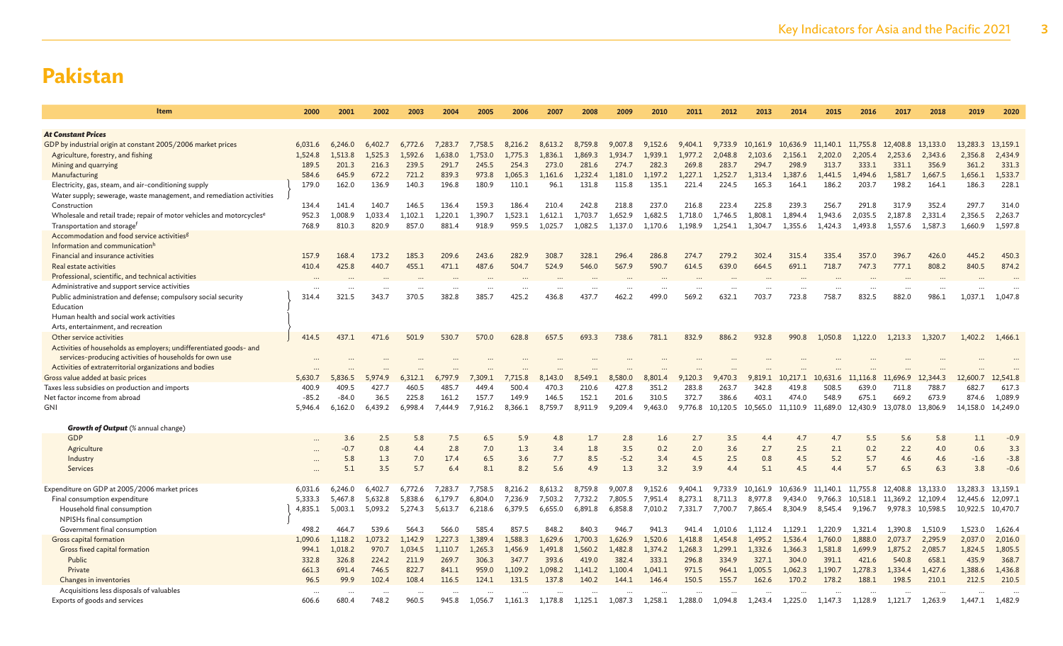| Item                                                                              | 2000             | 2001             | 2002             | 2003             | 2004                 | 2005             | 2006             | 2007             | 2008             | 2009             | 2010             | 2011             | 2012             | 2013             | 2014              | 2015             | 2016             | 2017              | 2018             | 2019             | 2020             |
|-----------------------------------------------------------------------------------|------------------|------------------|------------------|------------------|----------------------|------------------|------------------|------------------|------------------|------------------|------------------|------------------|------------------|------------------|-------------------|------------------|------------------|-------------------|------------------|------------------|------------------|
|                                                                                   |                  |                  |                  |                  |                      |                  |                  |                  |                  |                  |                  |                  |                  |                  |                   |                  |                  |                   |                  |                  |                  |
| <b>At Constant Prices</b>                                                         |                  |                  |                  |                  |                      |                  |                  |                  |                  |                  |                  |                  |                  |                  |                   |                  |                  |                   |                  |                  |                  |
| GDP by industrial origin at constant 2005/2006 market prices                      | 6,031.6          | 6,246.0          | 6,402.7          | 6,772.6          | 7,283.7              | 7,758.5          | 8,216.2          | 8,613.2          | 8,759.8          | 9,007.8          | 9,152.6          | 9,404.1          | 9,733.9          | 10,161.9         | 10,636.9 11,140.1 |                  | 11,755.8         | 12,408.8          | 13,133.0         | 13,283.3         | 13,159.1         |
| Agriculture, forestry, and fishing<br>Mining and quarrying                        | 1,524.8<br>189.5 | 1.513.8<br>201.3 | 1.525.3<br>216.3 | 1,592.6<br>239.5 | 1.638.0<br>291.7     | 1,753.0<br>245.5 | 1,775.3<br>254.3 | 1.836.1<br>273.0 | 1,869.3<br>281.6 | 1.934.7<br>274.7 | 1.939.1<br>282.3 | 1,977.2<br>269.8 | 2.048.8<br>283.7 | 2,103.6<br>294.7 | 2,156.1<br>298.9  | 2,202.0<br>313.7 | 2,205.4<br>333.1 | 2.253.6<br>331.1  | 2,343.6<br>356.9 | 2,356.8<br>361.2 | 2,434.9<br>331.3 |
| Manufacturing                                                                     | 584.6            | 645.9            | 672.2            | 721.2            | 839.3                | 973.8            | 1,065.3          | 1,161.6          | 1,232.4          | 1,181.0          | 1,197.2          | 1,227.1          | 1,252.7          | 1,313.4          | 1,387.6           | 1,441.5          | 1.494.6          | 1,581.7           | 1,667.5          | 1,656.1          | 1,533.7          |
| Electricity, gas, steam, and air-conditioning supply                              | 179.0            | 162.0            | 136.9            | 140.3            | 196.8                | 180.9            | 110.1            | 96.1             | 131.8            | 115.8            | 135.1            | 221.4            | 224.5            | 165.3            | 164.1             | 186.2            | 203.7            | 198.2             | 164.1            | 186.3            | 228.1            |
| Water supply; sewerage, waste management, and remediation activities              |                  |                  |                  |                  |                      |                  |                  |                  |                  |                  |                  |                  |                  |                  |                   |                  |                  |                   |                  |                  |                  |
| Construction                                                                      | 134.4            | 141.4            | 140.7            | 146.5            | 136.4                | 159.3            | 186.4            | 210.4            | 242.8            | 218.8            | 237.0            | 216.8            | 223.4            | 225.8            | 239.3             | 256.7            | 291.8            | 317.9             | 352.4            | 297.7            | 314.0            |
| Wholesale and retail trade; repair of motor vehicles and motorcycles <sup>e</sup> | 952.3            | 1,008.9          | 1,033.4          | 1,102.1          | 1,220.1              | 1,390.7          | 1,523.1          | 1.612.1          | 1,703.7          | 1,652.9          | 1,682.5          | 1,718.0          | 1,746.5          | 1,808.1          | 1.894.4           | 1,943.6          | 2,035.5          | 2,187.8           | 2,331.4          | 2,356.5          | 2,263.7          |
| Transportation and storage <sup>f</sup>                                           | 768.9            | 810.3            | 820.9            | 857.0            | 881.4                | 918.9            | 959.5            | 1,025.7          | 1,082.5          | 1,137.0          | 1,170.6          | 1,198.9          | 1,254.1          | 1,304.7          | 1,355.6           | 1,424.3          | 1,493.8          | 1,557.6           | 1,587.3          | 1,660.9          | 1,597.8          |
| Accommodation and food service activities <sup>g</sup>                            |                  |                  |                  |                  |                      |                  |                  |                  |                  |                  |                  |                  |                  |                  |                   |                  |                  |                   |                  |                  |                  |
| Information and communication <sup>h</sup>                                        |                  |                  |                  |                  |                      |                  |                  |                  |                  |                  |                  |                  |                  |                  |                   |                  |                  |                   |                  |                  |                  |
| Financial and insurance activities                                                | 157.9            | 168.4            | 173.2            | 185.3            | 209.6                | 243.6            | 282.9            | 308.7            | 328.1            | 296.4            | 286.8            | 274.7            | 279.2            | 302.4            | 315.4             | 335.4            | 357.0            | 396.7             | 426.0            | 445.2            | 450.3            |
| Real estate activities                                                            | 410.4            | 425.8            | 440.7            | 455.1            | 471.1                | 487.6            | 504.7            | 524.9            | 546.0            | 567.9            | 590.7            | 614.5            | 639.0            | 664.5            | 691.1             | 718.7            | 747.3            | 777.1             | 808.2            | 840.5            | 874.2            |
| Professional, scientific, and technical activities                                |                  |                  |                  |                  |                      |                  |                  |                  |                  |                  |                  |                  |                  |                  |                   |                  |                  |                   |                  |                  |                  |
| Administrative and support service activities                                     | 314.4            | 321.5            | 343.7            | 370.5            | 382.8                | 385.7            | 425.2            | 436.8            | 437.7            | 462.2            | 499.0            | 569.2            | 632.1            | 703.7            | 723.8             | 758.7            | 832.5            | 882.0             | 986.1            |                  |                  |
| Public administration and defense; compulsory social security<br>Education        |                  |                  |                  |                  |                      |                  |                  |                  |                  |                  |                  |                  |                  |                  |                   |                  |                  |                   |                  | 1,037.1          | 1,047.8          |
| Human health and social work activities                                           |                  |                  |                  |                  |                      |                  |                  |                  |                  |                  |                  |                  |                  |                  |                   |                  |                  |                   |                  |                  |                  |
| Arts, entertainment, and recreation                                               |                  |                  |                  |                  |                      |                  |                  |                  |                  |                  |                  |                  |                  |                  |                   |                  |                  |                   |                  |                  |                  |
| Other service activities                                                          | 414.5            | 437.1            | 471.6            | 501.9            | 530.7                | 570.0            | 628.8            | 657.5            | 693.3            | 738.6            | 781.1            | 832.9            | 886.2            | 932.8            | 990.8             | 1,050.8          | 1.122.0          | 1,213.3           | 1,320.7          | 1,402.2          | 1,466.1          |
| Activities of households as employers; undifferentiated goods- and                |                  |                  |                  |                  |                      |                  |                  |                  |                  |                  |                  |                  |                  |                  |                   |                  |                  |                   |                  |                  |                  |
| services-producing activities of households for own use                           |                  |                  |                  |                  |                      |                  |                  |                  |                  |                  |                  |                  |                  |                  |                   |                  |                  |                   |                  |                  |                  |
| Activities of extraterritorial organizations and bodies                           |                  |                  |                  |                  |                      |                  |                  |                  |                  |                  |                  |                  |                  |                  |                   |                  |                  |                   |                  |                  |                  |
| Gross value added at basic prices                                                 | 5,630.7          | 5,836.5          | 5,974.9          | 6.312.1          | 6,797.9              | 7.309.1          | 7,715.8          | 8,143.0          | 8,549.1          | 8,580.0          | 8,801.4          | 120.3<br>9       | 9,470.3          | 9,819.1          | 10,217.1          | 10,631.6         | 11,116.8         | 11,696.9          | 12,344.3         | 12,600.7         | 12,541.8         |
| Taxes less subsidies on production and imports                                    | 400.9            | 409.5            | 427.7            | 460.5            | 485.7                | 449.4            | 500.4            | 470.3            | 210.6            | 427.8            | 351.2            | 283.8            | 263.7            | 342.8            | 419.8             | 508.5            | 639.0            | 711.8             | 788.7            | 682.7            | 617.3            |
| Net factor income from abroad                                                     | $-85.2$          | $-84.0$          | 36.5             | 225.8            | 161.2                | 157.7            | 149.9            | 146.5            | 152.1            | 201.6            | 310.5            | 372.7            | 386.6            | 403.1            | 474.0             | 548.9            | 675.1            | 669.2             | 673.9            | 874.6            | 1,089.9          |
| <b>GNI</b>                                                                        | 5,946.4          | 6,162.0          | 6.439.2          | 6.998.4          | 7.444.9              | 7,916.2          | 8,366.1          | 8.759.7          | 8,911.9          | 9,209.4          | 9,463.0          | 9,776.8          | 10.120.5         | 10,565.0         | 11,110.9 11,689.0 |                  | 12,430.9         | 13,078.0          | 13,806.9         | 14,158.0         | 14,249.0         |
| Growth of Output (% annual change)                                                |                  |                  |                  |                  |                      |                  |                  |                  |                  |                  |                  |                  |                  |                  |                   |                  |                  |                   |                  |                  |                  |
| GDP                                                                               |                  | 3.6              | 2.5              | 5.8              | 7.5                  | 6.5              | 5.9              | 4.8              | 1.7              | 2.8              | 1.6              | 2.7              | 3.5              | 4.4              | 4.7               | 4.7              | 5.5              | 5.6               | 5.8              | 1.1              | $-0.9$           |
| Agriculture                                                                       |                  | $-0.7$           | 0.8              | 4.4              | 2.8                  | 7.0              | 1.3              | 3.4              | 1.8              | 3.5              | 0.2              | 2.0              | 3.6              | 2.7              | 2.5               | 2.1              | 0.2              | 2.2               | 4.0              | 0.6              | 3.3              |
| Industry                                                                          |                  | 5.8              | 1.3              | 7.0              | 17.4                 | 6.5              | 3.6              | 7.7              | 8.5              | $-5.2$           | 3.4              | 4.5              | 2.5              | 0.8              | 4.5               | 5.2              | 5.7              | 4.6               | 4.6              | $-1.6$           | $-3.8$           |
| Services                                                                          |                  | 5.1              | 3.5              | 5.7              | 6.4                  | 8.1              | 8.2              | 5.6              | 4.9              | 1.3              | 3.2              | 3.9              | 4.4              | 5.1              | 4.5               | 4.4              | 5.7              | 6.5               | 6.3              | 3.8              | $-0.6$           |
|                                                                                   |                  |                  |                  |                  |                      |                  |                  |                  |                  |                  |                  |                  |                  |                  |                   |                  |                  |                   |                  |                  |                  |
| Expenditure on GDP at 2005/2006 market prices                                     | 6,031.6          | 6,246.0          | 6,402.7          | 6,772.6          | 7,283.7              | 7,758.5          | 8,216.2          | 8,613.2          | 8,759.8          | 9,007.8          | 9,152.6          | 9,404.1          | 9,733.9          | 10,161.9         | 10,636.9          | 11,140.1         | 11,755.8         | 12,408.8          | 13,133.0         | 13,283.3         | 13,159.1         |
| Final consumption expenditure                                                     | 5,333.3          | 5,467.8          | 5,632.8          | 5,838.6          | 6.179.7              | 6.804.0          | 7,236.9          | 7,503.2          | 7,732.2          | 7,805.5          | 7,951.4          | 8,273.1          | 8,711.3          | 8,977.8          | 9,434.0           | 9,766.3          | 10,518.1         | 11,369.2 12,109.4 |                  | 12,445.6         | 12,097.1         |
| Household final consumption                                                       | 4,835.1          | 5,003.1          | 5,093.2          | 5,274.3          | 5.613.7              | 6,218.6          | 6.379.5          | 6.655.0          | 6,891.8          | 6,858.8          | 7,010.2          | 7.331.7          | 7.700.7          | 7.865.4          | 8,304.9           | 8,545.4          | 9,196.7          | 9,978.3           | 10,598.5         | 10,922.5         | 10,470.7         |
| NPISHs final consumption<br>Government final consumption                          | 498.2            | 4647             | 539.6            | 564.3            | 566.0                | 585.4            | 857.5            | 848.2            | 840.3            | 946.7            | 941.3            | 941.4            | 1.010.6          | 1.112.4          | 1.129.1           | 1,220.9          | 1.321.4          | 1.390.8           | 1.510.9          | 1.523.0          | 1,626.4          |
| Gross capital formation                                                           | 1,090.6          | 1,118.2          | 1,073.2          | 1,142.9          | 1,227.3              | 1,389.4          | 1,588.3          | 1,629.6          | 1,700.3          | 1,626.9          | 1,520.6          | 1,418.8          | 1,454.8          | 1,495.2          | 1,536.4           | 1,760.0          | 1,888.0          | 2,073.7           | 2,295.9          | 2,037.0          | 2,016.0          |
| Gross fixed capital formation                                                     | 994.1            | 1,018.2          | 970.7            | 1,034.5          | 1,110.7              | 1,265.3          | 1,456.9          | 1,491.8          | 1,560.2          | 1,482.8          | 1,374.2          | 1,268.3          | 1,299.1          | 1,332.6          | 1,366.3           | 1,581.8          | 1,699.9          | 1,875.2           | 2,085.7          | 1,824.5          | 1,805.5          |
| Public                                                                            | 332.8            | 326.8            | 224.2            | 211.9            | 269.7                | 306.3            | 347.7            | 393.6            | 419.0            | 382.4            | 333.1            | 296.8            | 334.9            | 327.1            | 304.0             | 391.1            | 421.6            | 540.8             | 658.1            | 435.9            | 368.7            |
| Private                                                                           | 661.3            | 691.4            | 746.5            | 822.7            | 841.1                | 959.0            | 1,109.2          | 1,098.2          | 1,141.2          | 1,100.4          | 1,041.1          | 971.5            | 964.1            | 1,005.5          | 1,062.3           | 1,190.7          | 1,278.3          | 1,334.4           | 1,427.6          | 1,388.6          | 1,436.8          |
| Changes in inventories                                                            | 96.5             | 99.9             | 102.4            | 108.4            | 116.5                | 124.1            | 131.5            | 137.8            | 140.2            | 144.1            | 146.4            | 150.5            | 155.7            | 162.6            | 170.2             | 178.2            | 188.1            | 198.5             | 210.1            | 212.5            | 210.5            |
| Acquisitions less disposals of valuables                                          | $\cdots$         |                  |                  |                  | $\ddot{\phantom{a}}$ |                  |                  |                  |                  |                  |                  |                  |                  |                  |                   |                  |                  |                   |                  |                  |                  |
| Exports of goods and services                                                     | 606.6            | 680.4            | 748.2            | 960.5            | 945.8                | 1,056.7          | 1,161.3          | 1,178.8          | 1,125.1          | 1,087.3          | 1,258.1          | 1,288.0          | 1,094.8          | 1,243.4          | 1,225.0           | 1,147.3          | 1,128.9          | 1,121.7           | 1,263.9          | 1,447.1          | 1,482.9          |
|                                                                                   |                  |                  |                  |                  |                      |                  |                  |                  |                  |                  |                  |                  |                  |                  |                   |                  |                  |                   |                  |                  |                  |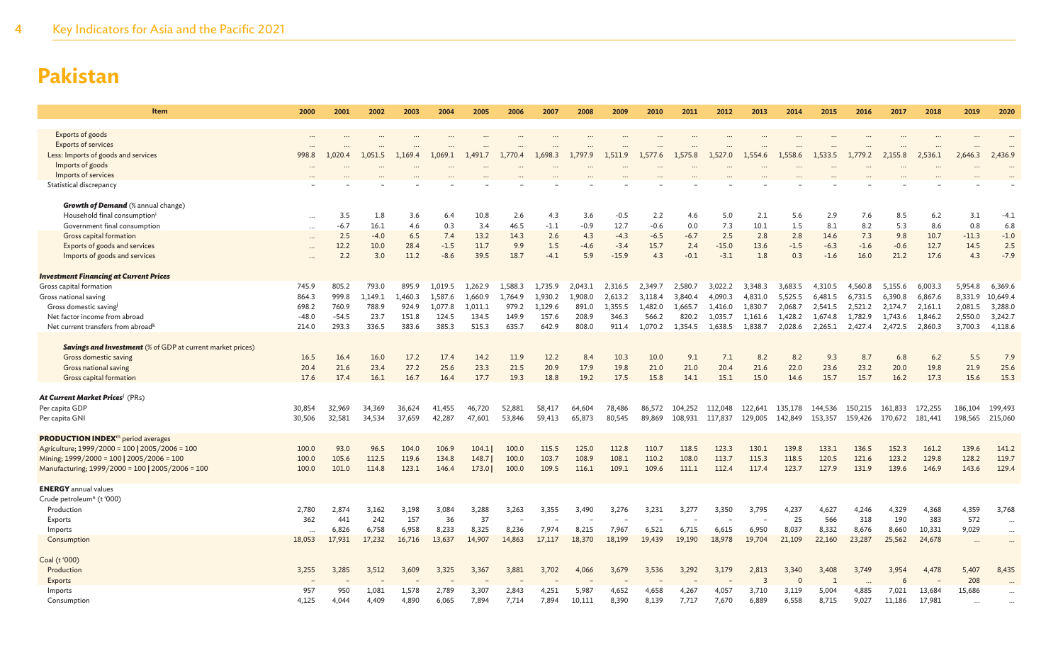| Item                                                                                        | 2000             | 2001             | 2002          | 2003           | 2004             | 2005             | 2006                              | 2007             | 2008           | 2009              | 2010             | 2011             | 2012               | 2013               | 2014               | 2015               | 2016               | 2017               | 2018               | 2019               | 2020                 |
|---------------------------------------------------------------------------------------------|------------------|------------------|---------------|----------------|------------------|------------------|-----------------------------------|------------------|----------------|-------------------|------------------|------------------|--------------------|--------------------|--------------------|--------------------|--------------------|--------------------|--------------------|--------------------|----------------------|
|                                                                                             |                  |                  |               |                |                  |                  |                                   |                  |                |                   |                  |                  |                    |                    |                    |                    |                    |                    |                    |                    |                      |
| Exports of goods<br><b>Exports of services</b>                                              |                  |                  |               |                |                  |                  |                                   |                  |                |                   |                  |                  |                    |                    |                    |                    |                    |                    |                    |                    |                      |
| Less: Imports of goods and services                                                         | 998.8            | 1.020.4          | 1,051.5       | 1,169.4        | 1.069.1          | 1,491.7          | 1,770.4                           | 1,698.3          | 1,797.9        | 1,511.9           | 1,577.6          | 1,575.8          | 1,527.0            | 1,554.6            | 1,558.6            | 1,533.5            | 1,779.2            | 2,155.8            | 2,536.1            | 2,646.3            | 2,436.9              |
| Imports of goods                                                                            |                  |                  |               |                |                  |                  |                                   |                  |                |                   |                  |                  |                    |                    |                    |                    |                    |                    |                    |                    |                      |
| Imports of services                                                                         |                  |                  |               |                |                  |                  |                                   |                  |                |                   |                  |                  |                    |                    |                    |                    |                    |                    |                    |                    |                      |
| Statistical discrepancy                                                                     |                  |                  |               |                |                  |                  |                                   |                  |                |                   |                  |                  |                    |                    |                    |                    |                    |                    |                    |                    |                      |
| <b>Growth of Demand</b> (% annual change)                                                   |                  |                  |               |                |                  |                  |                                   |                  |                |                   |                  |                  |                    |                    |                    |                    |                    |                    |                    |                    |                      |
| Household final consumptioni                                                                | $\cdots$         | 3.5              | 1.8           | 3.6            | 6.4              | 10.8             | 2.6                               | 4.3              | 3.6            | $-0.5$            | 2.2              | 4.6              | 5.0                | 2.1                | 5.6                | 2.9                | 7.6                | 8.5                | 6.2                | 3.1                | $-4.1$               |
| Government final consumption                                                                | $\cdots$         | $-6.7$           | 16.1          | 4.6            | 0.3              | 3.4              | 46.5                              | $-1.1$           | $-0.9$         | 12.7              | $-0.6$           | 0.0              | 7.3                | 10.1               | 1.5                | 8.1                | 8.2                | 5.3                | 8.6                | 0.8                | 6.8                  |
| Gross capital formation                                                                     | $\cdots$         | 2.5              | $-4.0$        | 6.5            | 7.4              | 13.2             | 14.3                              | 2.6              | 4.3            | $-4.3$            | $-6.5$           | $-6.7$           | 2.5                | 2.8                | 2.8                | 14.6               | 7.3                | 9.8                | 10.7               | $-11.3$            | $-1.0$               |
| Exports of goods and services<br>Imports of goods and services                              | $\ddotsc$        | 12.2<br>2.2      | 10.0<br>3.0   | 28.4<br>11.2   | $-1.5$<br>$-8.6$ | 11.7<br>39.5     | 9.9<br>18.7                       | 1.5<br>$-4.1$    | $-4.6$<br>5.9  | $-3.4$<br>$-15.9$ | 15.7<br>4.3      | 2.4<br>$-0.1$    | $-15.0$<br>$-3.1$  | 13.6<br>1.8        | $-1.5$<br>0.3      | $-6.3$<br>$-1.6$   | $-1.6$<br>16.0     | $-0.6$<br>21.2     | 12.7<br>17.6       | 14.5<br>4.3        | 2.5<br>$-7.9$        |
|                                                                                             | $\ddotsc$        |                  |               |                |                  |                  |                                   |                  |                |                   |                  |                  |                    |                    |                    |                    |                    |                    |                    |                    |                      |
| <b>Investment Financing at Current Prices</b>                                               |                  |                  |               |                |                  |                  |                                   |                  |                |                   |                  |                  |                    |                    |                    |                    |                    |                    |                    |                    |                      |
| Gross capital formation                                                                     | 745.9            | 805.2            | 793.0         | 895.9          | 1.019.5          | 1.262.9          | 1.588.3                           | 1.735.9          | 2,043.1        | 2,316.5           | 2.349.7          | 2,580.7          | 3.022.2            | 3,348.3            | 3,683.5            | 4,310.5            | 4,560.8            | 5.155.6            | 6,003.3            | 5,954.8            | 6,369.6              |
| Gross national saving                                                                       | 864.3            | 999.8            | 1.149.1       | 1,460.3        | 1.587.6          | 1.660.9          | 1.764.9                           | 1.930.2          | 1.908.0        | 2,613.2           | 3,118.4          | 3.840.4          | 4.090.3            | 4,831.0            | 5,525.5            | 6.481.5            | 6,731.5            | 6,390.8            | 6.867.6            | 8,331.9            | 10,649.4             |
| Gross domestic saving<br>Net factor income from abroad                                      | 698.2<br>$-48.0$ | 760.9<br>$-54.5$ | 788.9<br>23.7 | 924.9<br>151.8 | 1.077.8<br>124.5 | 1.011.1<br>134.5 | 979.2<br>149.9                    | 1.129.6<br>157.6 | 891.0<br>208.9 | 1.355.5<br>346.3  | 1.482.0<br>566.2 | 1.665.7<br>820.2 | 1.416.0<br>1,035.7 | 1.830.7            | 2.068.7            | 2.541.5<br>1,674.8 | 2,521.2            | 2.174.7            | 2.161.1            | 2.081.5            | 3,288.0<br>3,242.7   |
| Net current transfers from abroad <sup>k</sup>                                              | 214.0            | 293.3            | 336.5         | 383.6          | 385.3            | 515.3            | 635.7                             | 642.9            | 808.0          | 911.4             | 1.070.2          | 1.354.5          | 1.638.5            | 1,161.6<br>1.838.7 | 1,428.2<br>2.028.6 | 2.265.1            | 1,782.9<br>2,427.4 | 1,743.6<br>2,472.5 | 1,846.2<br>2,860.3 | 2,550.0<br>3,700.3 | 4,118.6              |
|                                                                                             |                  |                  |               |                |                  |                  |                                   |                  |                |                   |                  |                  |                    |                    |                    |                    |                    |                    |                    |                    |                      |
| <b>Savings and Investment</b> (% of GDP at current market prices)                           |                  |                  |               |                |                  |                  |                                   |                  |                |                   |                  |                  |                    |                    |                    |                    |                    |                    |                    |                    |                      |
| Gross domestic saving                                                                       | 16.5             | 16.4             | 16.0          | 17.2           | 17.4             | 14.2             | 11.9                              | 12.2             | 8.4            | 10.3              | 10.0             | 9.1              | 7.1                | 8.2                | 8.2                | 9.3                | 8.7                | 6.8                | 6.2                | 5.5                | 7.9                  |
| Gross national saving                                                                       | 20.4             | 21.6             | 23.4          | 27.2           | 25.6             | 23.3             | 21.5                              | 20.9             | 17.9           | 19.8              | 21.0             | 21.0             | 20.4               | 21.6               | 22.0               | 23.6               | 23.2               | 20.0               | 19.8               | 21.9               | 25.6                 |
| Gross capital formation                                                                     | 17.6             | 17.4             | 16.1          | 16.7           | 16.4             | 17.7             | 19.3                              | 18.8             | 19.2           | 17.5              | 15.8             | 14.1             | 15.1               | 15.0               | 14.6               | 15.7               | 15.7               | 16.2               | 17.3               | 15.6               | 15.3                 |
| <b>At Current Market Prices</b> (PRs)                                                       |                  |                  |               |                |                  |                  |                                   |                  |                |                   |                  |                  |                    |                    |                    |                    |                    |                    |                    |                    |                      |
| Per capita GDP                                                                              | 30,854           | 32,969           | 34,369        | 36,624         | 41,455           | 46,720           | 52,881                            | 58,417           | 64,604         | 78,486            | 86,572           | 104,252          | 112,048            | 122,641            | 135,178            | 144,536            | 150,215            | 161,833            | 172,255            | 186,104            | 199,493              |
| Per capita GNI                                                                              | 30,506           | 32,581           | 34,534        | 37,659         | 42,287           | 47,601           | 53,846                            | 59,413           | 65,873         | 80,545            | 89,869           | 108,931          | 117,837            | 129,005            | 142,849            | 153,357            | 159,426            | 170,672            | 181,441            | 198,565            | 215,060              |
|                                                                                             |                  |                  |               |                |                  |                  |                                   |                  |                |                   |                  |                  |                    |                    |                    |                    |                    |                    |                    |                    |                      |
| <b>PRODUCTION INDEX<sup>m</sup> period averages</b>                                         | 100.0            | 93.0             | 96.5          | 104.0          | 106.9            | 104.1            | 100.0                             | 115.5            | 125.0          | 112.8             | 110.7            | 118.5            | 123.3              | 130.1              | 139.8              | 133.1              | 136.5              | 152.3              | 161.2              | 139.6              | 141.2                |
| Agriculture; 1999/2000 = 100   2005/2006 = 100<br>Mining; 1999/2000 = 100   2005/2006 = 100 | 100.0            | 105.6            | 112.5         | 119.6          | 134.8            | 148.7            | 100.0                             | 103.7            | 108.9          | 108.1             | 110.2            | 108.0            | 113.7              | 115.3              | 118.5              | 120.5              | 121.6              | 123.2              | 129.8              | 128.2              | 119.7                |
| Manufacturing; 1999/2000 = 100   2005/2006 = 100                                            | 100.0            | 101.0            | 114.8         | 123.1          | 146.4            | 173.0            | 100.0                             | 109.5            | 116.1          | 109.1             | 109.6            | 111.1            | 112.4              | 117.4              | 123.7              | 127.9              | 131.9              | 139.6              | 146.9              | 143.6              | 129.4                |
|                                                                                             |                  |                  |               |                |                  |                  |                                   |                  |                |                   |                  |                  |                    |                    |                    |                    |                    |                    |                    |                    |                      |
| <b>ENERGY</b> annual values                                                                 |                  |                  |               |                |                  |                  |                                   |                  |                |                   |                  |                  |                    |                    |                    |                    |                    |                    |                    |                    |                      |
| Crude petroleum <sup>n</sup> (t '000)                                                       |                  |                  |               |                |                  |                  |                                   |                  |                |                   |                  |                  |                    |                    |                    |                    |                    |                    |                    |                    |                      |
| Production<br>Exports                                                                       | 2,780<br>362     | 2,874<br>441     | 3,162<br>242  | 3,198<br>157   | 3,084<br>36      | 3,288<br>37      | 3,263<br>$\overline{\phantom{a}}$ | 3,355            | 3,490          | 3,276             | 3,231            | 3,277            | 3,350              | 3,795              | 4,237<br>25        | 4,627<br>566       | 4,246<br>318       | 4,329<br>190       | 4,368<br>383       | 4,359<br>572       | 3,768                |
| Imports                                                                                     |                  | 6,826            | 6,758         | 6,958          | 8,233            | 8,325            | 8,236                             | 7,974            | 8,215          | 7,967             | 6,521            | 6,715            | 6,615              | 6,950              | 8,037              | 8,332              | 8,676              | 8,660              | 10,331             | 9,029              | $\ddots$<br>$\ddots$ |
| Consumption                                                                                 | 18,053           | 17,931           | 17,232        | 16,716         | 13,637           | 14,907           | 14,863                            | 17,117           | 18,370         | 18,199            | 19,439           | 19,190           | 18,978             | 19,704             | 21,109             | 22,160             | 23,287             | 25,562             | 24,678             | $\cdots$           | $\ddots$             |
|                                                                                             |                  |                  |               |                |                  |                  |                                   |                  |                |                   |                  |                  |                    |                    |                    |                    |                    |                    |                    |                    |                      |
| Coal (t '000)                                                                               |                  |                  |               |                |                  |                  |                                   |                  |                |                   |                  |                  |                    |                    |                    |                    |                    |                    |                    |                    |                      |
| Production                                                                                  | 3,255            | 3,285            | 3,512         | 3,609          | 3,325            | 3,367            | 3,881                             | 3,702            | 4,066          | 3,679             | 3,536            | 3,292            | 3,179              | 2,813              | 3,340              | 3,408              | 3,749              | 3,954              | 4,478              | 5,407              | 8,435                |
| Exports<br>Imports                                                                          | 957              | 950              | 1.081         | 1,578          | 2,789            | 3.307            | 2,843                             | 4,251            | 5,987          | 4,652             | 4,658            | 4,267            | 4,057              | 3<br>3,710         | 3,119              | 5,004              | 4.885              | 7,021              | 13,684             | 208<br>15,686      | $\ddot{\phantom{a}}$ |
| Consumption                                                                                 | 4,125            | 4,044            | 4,409         | 4,890          | 6,065            | 7,894            | 7,714                             | 7,894            | 10,111         | 8,390             | 8,139            | 7,717            | 7,670              | 6,889              | 6,558              | 8,715              | 9,027              | 11,186             | 17,981             | $\cdots$           |                      |
|                                                                                             |                  |                  |               |                |                  |                  |                                   |                  |                |                   |                  |                  |                    |                    |                    |                    |                    |                    |                    |                    |                      |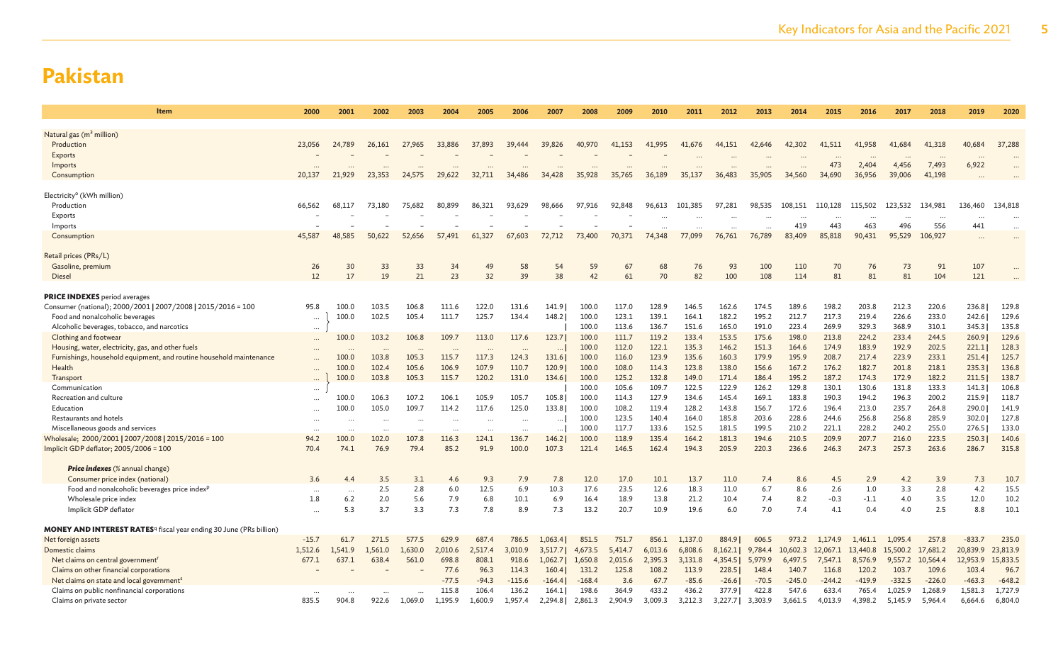| <b>Item</b>                                                                           | 2000      | 2001      | 2002      | 2003     | 2004      | 2005      | 2006      | 2007     | 2008     | 2009    | 2010      | 2011    | 2012    | 2013    | 2014      | 2015     | 2016     | 2017     | 2018      | 2019     | 2020     |
|---------------------------------------------------------------------------------------|-----------|-----------|-----------|----------|-----------|-----------|-----------|----------|----------|---------|-----------|---------|---------|---------|-----------|----------|----------|----------|-----------|----------|----------|
|                                                                                       |           |           |           |          |           |           |           |          |          |         |           |         |         |         |           |          |          |          |           |          |          |
| Natural gas (m <sup>3</sup> million)                                                  |           |           |           |          |           |           |           |          |          |         |           |         |         |         |           |          |          |          |           |          |          |
| Production                                                                            | 23,056    | 24,789    | 26,161    | 27,965   | 33,886    | 37,893    | 39,444    | 39,826   | 40,970   | 41,153  | 41,995    | 41,676  | 44,151  | 42,646  | 42,302    | 41,511   | 41,958   | 41,684   | 41,318    | 40,684   | 37,288   |
| Exports                                                                               |           |           |           |          |           |           |           |          |          |         |           |         |         |         |           |          |          |          | $\ddotsc$ | $\cdots$ |          |
| Imports                                                                               | $\ddotsc$ | $\ddotsc$ |           |          | $\ddotsc$ |           |           |          |          |         | $\ddotsc$ |         |         |         | $\ddotsc$ | 473      | 2,404    | 4,456    | 7,493     | 6,922    |          |
| Consumption                                                                           | 20,137    | 21,929    | 23,353    | 24,575   | 29,622    | 32,711    | 34,486    | 34,428   | 35,928   | 35,765  | 36,189    | 35,137  | 36,483  | 35,905  | 34,560    | 34,690   | 36,956   | 39,006   | 41,198    |          |          |
| Electricity <sup>o</sup> (kWh million)                                                |           |           |           |          |           |           |           |          |          |         |           |         |         |         |           |          |          |          |           |          |          |
| Production                                                                            | 66,562    | 68,117    | 73,180    | 75,682   | 80,899    | 86,321    | 93,629    | 98,666   | 97,916   | 92,848  | 96,613    | 101,385 | 97,281  | 98,535  | 108,151   | 110,128  | 115,502  | 123,532  | 134,981   | 136,460  | 134,818  |
| Exports                                                                               |           |           |           |          |           |           |           |          |          |         |           |         |         |         | $\cdots$  | $\cdots$ | $\cdots$ | $\cdots$ |           | $\cdots$ |          |
| Imports                                                                               |           |           |           |          |           |           |           |          |          |         |           |         |         |         | 419       | 443      | 463      | 496      | 556       | 441      |          |
| Consumption                                                                           | 45,587    | 48,585    | 50,622    | 52,656   | 57,491    | 61,327    | 67,603    | 72,712   | 73,400   | 70,371  | 74,348    | 77,099  | 76,761  | 76,789  | 83,409    | 85,818   | 90,431   | 95,529   | 106,927   | $\cdots$ |          |
| Retail prices (PRs/L)                                                                 |           |           |           |          |           |           |           |          |          |         |           |         |         |         |           |          |          |          |           |          |          |
| Gasoline, premium                                                                     | 26        | 30        | 33        | 33       | 34        | 49        | 58        | 54       | 59       | 67      | 68        | 76      | 93      | 100     | 110       | 70       | 76       | 73       | 91        | 107      |          |
| Diesel                                                                                | 12        | 17        | 19        | 21       | 23        | 32        | 39        | 38       | 42       | 61      | 70        | 82      | 100     | 108     | 114       | 81       | 81       | 81       | 104       | 121      |          |
|                                                                                       |           |           |           |          |           |           |           |          |          |         |           |         |         |         |           |          |          |          |           |          |          |
| <b>PRICE INDEXES</b> period averages                                                  |           |           |           |          |           |           |           |          |          |         |           |         |         |         |           |          |          |          |           |          |          |
| Consumer (national); 2000/2001   2007/2008   2015/2016 = 100                          | 95.8      | 100.0     | 103.5     | 106.8    | 111.6     | 122.0     | 131.6     | 141.9    | 100.0    | 117.0   | 128.9     | 146.5   | 162.6   | 174.5   | 189.6     | 198.2    | 203.8    | 212.3    | 220.6     | 236.8    | 129.8    |
| Food and nonalcoholic beverages                                                       | $\ddots$  | 100.0     | 102.5     | 105.4    | 111.7     | 125.7     | 134.4     | 148.2    | 100.0    | 123.1   | 139.1     | 164.1   | 182.2   | 195.2   | 212.7     | 217.3    | 219.4    | 226.6    | 233.0     | 242.6    | 129.6    |
| Alcoholic beverages, tobacco, and narcotics                                           | $\cdots$  |           |           |          |           |           |           |          | 100.0    | 113.6   | 136.7     | 151.6   | 165.0   | 191.0   | 223.4     | 269.9    | 329.3    | 368.9    | 310.1     | 345.3    | 135.8    |
| Clothing and footwear                                                                 |           | 100.0     | 103.2     | 106.8    | 109.7     | 113.0     | 117.6     | 123.7    | 100.0    | 111.7   | 119.2     | 133.4   | 153.5   | 175.6   | 198.0     | 213.8    | 224.2    | 233.4    | 244.5     | 260.9    | 129.6    |
| Housing, water, electricity, gas, and other fuels                                     |           |           |           |          |           |           |           |          | 100.0    | 112.0   | 122.1     | 135.3   | 146.2   | 151.3   | 164.6     | 174.9    | 183.9    | 192.9    | 202.5     | 221.1    | 128.3    |
| Furnishings, household equipment, and routine household maintenance                   |           | 100.0     | 103.8     | 105.3    | 115.7     | 117.3     | 124.3     | 131.6    | 100.0    | 116.0   | 123.9     | 135.6   | 160.3   | 179.9   | 195.9     | 208.7    | 217.4    | 223.9    | 233.1     | 251.4    | 125.7    |
| Health                                                                                |           | 100.0     | 102.4     | 105.6    | 106.9     | 107.9     | 110.7     | 120.9    | 100.0    | 108.0   | 114.3     | 123.8   | 138.0   | 156.6   | 167.2     | 176.2    | 182.7    | 201.8    | 218.1     | 235.3    | 136.8    |
| Transpor                                                                              | $\cdots$  | 100.0     | 103.8     | 105.3    | 115.7     | 120.2     | 131.0     | 134.6    | 100.0    | 125.2   | 132.8     | 149.0   | 171.4   | 186.4   | 195.2     | 187.2    | 174.3    | 172.9    | 182.2     | 211.5    | 138.7    |
| Communication                                                                         | $\cdots$  |           |           |          |           |           |           |          | 100.0    | 105.6   | 109.7     | 122.5   | 122.9   | 126.2   | 129.8     | 130.1    | 130.6    | 131.8    | 133.3     | 141.3    | 106.8    |
| Recreation and culture                                                                | $\ddots$  | 100.0     | 106.3     | 107.2    | 106.1     | 105.9     | 105.7     | 105.8    | 100.0    | 114.3   | 127.9     | 134.6   | 145.4   | 169.1   | 183.8     | 190.3    | 194.2    | 196.3    | 200.2     | 215.9    | 118.7    |
| Education                                                                             | $\cdots$  | 100.0     | 105.0     | 109.7    | 114.2     | 117.6     | 125.0     | 133.8    | 100.0    | 108.2   | 119.4     | 128.2   | 143.8   | 156.7   | 172.6     | 196.4    | 213.0    | 235.7    | 264.8     | 290.0    | 141.9    |
| Restaurants and hotels                                                                | $\ddots$  | $\cdots$  | $\cdots$  | $\cdots$ |           | $\ddotsc$ | $\ddotsc$ | $\cdots$ | 100.0    | 123.5   | 140.4     | 164.0   | 185.8   | 203.6   | 228.6     | 244.6    | 256.8    | 256.8    | 285.9     | 302.0    | 127.8    |
| Miscellaneous goods and services                                                      | $\ddots$  | $\ddotsc$ | $\ddotsc$ |          | $\cdots$  | $\ddotsc$ | $\ddotsc$ | $\cdots$ | 100.0    | 117.7   | 133.6     | 152.5   | 181.5   | 199.5   | 210.2     | 221.1    | 228.2    | 240.2    | 255.0     | 276.5    | 133.0    |
| Wholesale; 2000/2001   2007/2008   2015/2016 = 100                                    | 94.2      | 100.0     | 102.0     | 107.8    | 116.3     | 124.1     | 136.7     | 146.2    | 100.0    | 118.9   | 135.4     | 164.2   | 181.3   | 194.6   | 210.5     | 209.9    | 207.7    | 216.0    | 223.5     | 250.3    | 140.6    |
| Implicit GDP deflator; 2005/2006 = 100                                                | 70.4      | 74.1      | 76.9      | 79.4     | 85.2      | 91.9      | 100.0     | 107.3    | 121.4    | 146.5   | 162.4     | 194.3   | 205.9   | 220.3   | 236.6     | 246.3    | 247.3    | 257.3    | 263.6     | 286.7    | 315.8    |
| <b>Price indexes</b> (% annual change)                                                |           |           |           |          |           |           |           |          |          |         |           |         |         |         |           |          |          |          |           |          |          |
| Consumer price index (national)                                                       | 3.6       | 4.4       | 3.5       | 3.1      | 4.6       | 9.3       | 7.9       | 7.8      | 12.0     | 17.0    | 10.1      | 13.7    | 11.0    | 7.4     | 8.6       | 4.5      | 2.9      | 4.2      | 3.9       | 7.3      | 10.7     |
| Food and nonalcoholic beverages price index <sup>p</sup>                              | $\ddots$  | $\cdots$  | 2.5       | 2.8      | 6.0       | 12.5      | 6.9       | 10.3     | 17.6     | 23.5    | 12.6      | 18.3    | 11.0    | 6.7     | 8.6       | 2.6      | 1.0      | 3.3      | 2.8       | 4.2      | 15.5     |
| Wholesale price index                                                                 | 1.8       | 6.2       | 2.0       | 5.6      | 7.9       | 6.8       | 10.1      | 6.9      | 16.4     | 18.9    | 13.8      | 21.2    | 10.4    | 7.4     | 8.2       | $-0.3$   | $-1.1$   | 4.0      | 3.5       | 12.0     | 10.2     |
| Implicit GDP deflator                                                                 | $\ddots$  | 5.3       | 3.7       | 3.3      | 7.3       | 7.8       | 8.9       | 7.3      | 13.2     | 20.7    | 10.9      | 19.6    | 6.0     | 7.0     | 7.4       | 4.1      | 0.4      | 4.0      | 2.5       | 8.8      | 10.1     |
| <b>MONEY AND INTEREST RATES</b> <sup>q</sup> fiscal year ending 30 June (PRs billion) |           |           |           |          |           |           |           |          |          |         |           |         |         |         |           |          |          |          |           |          |          |
| Net foreign assets                                                                    | $-15.7$   | 61.7      | 271.5     | 577.5    | 629.9     | 687.4     | 786.5     | 1.063.4  | 851.5    | 751.7   | 856.1     | 1,137.0 | 884.9   | 606.5   | 973.2     | 1,174.9  | 1.461.1  | 1.095.4  | 257.8     | $-833.7$ | 235.0    |
| Domestic claims                                                                       | 1,512.6   | 1,541.9   | 1,561.0   | 1,630.0  | 2,010.6   | 2,517.4   | 3,010.9   | 3,517.7  | 4,673.5  | 5,414.7 | 6,013.6   | 6,808.6 | 8,162.1 | 9,784.4 | 10,602.3  | 12,067.1 | 13,440.8 | 15,500.2 | 17,681.2  | 20,839.9 | 23,813.9 |
| Net claims on central government <sup>r</sup>                                         | 677.1     | 637.1     | 638.4     | 561.0    | 698.8     | 808.1     | 918.6     | 1,062.7  | 1,650.8  | 2,015.6 | 2,395.3   | 3,131.8 | 4,354.5 | 5,979.9 | 6,497.5   | 7,547.1  | 8,576.9  | 9,557.2  | 10,564.4  | 12,953.9 | 15,833.5 |
| Claims on other financial corporations                                                |           |           |           |          | 77.6      | 96.3      | 114.3     | 160.4    | 131.2    | 125.8   | 108.2     | 113.9   | 228.5   | 148.4   | 140.7     | 116.8    | 120.2    | 103.7    | 109.6     | 103.4    | 96.7     |
| Net claims on state and local government <sup>s</sup>                                 |           |           |           |          | $-77.5$   | $-94.3$   | $-115.6$  | $-164.4$ | $-168.4$ | 3.6     | 67.7      | $-85.6$ | $-26.6$ | $-70.5$ | $-245.0$  | $-244.2$ | $-419.9$ | $-332.5$ | $-226.0$  | $-463.3$ | $-648.2$ |
| Claims on public nonfinancial corporations                                            |           |           |           |          | 115.8     | 106.4     | 136.2     | 164.1    | 198.6    | 364.9   | 433.2     | 436.2   | 377.9   | 422.8   | 547.6     | 633.4    | 765.4    | 1,025.9  | 1,268.9   | 1,581.3  | 1,727.9  |
| Claims on private sector                                                              | 835.5     | 904.8     | 922.6     | 1,069.0  | 1,195.9   | 1,600.9   | 1,957.4   | 2,294.8  | 2,861.3  | 2,904.9 | 3,009.3   | 3,212.3 | 3,227.7 | 3,303.9 | 3,661.5   | 4,013.9  | 4,398.2  | 5,145.9  | 5,964.4   | 6,664.6  | 6,804.0  |
|                                                                                       |           |           |           |          |           |           |           |          |          |         |           |         |         |         |           |          |          |          |           |          |          |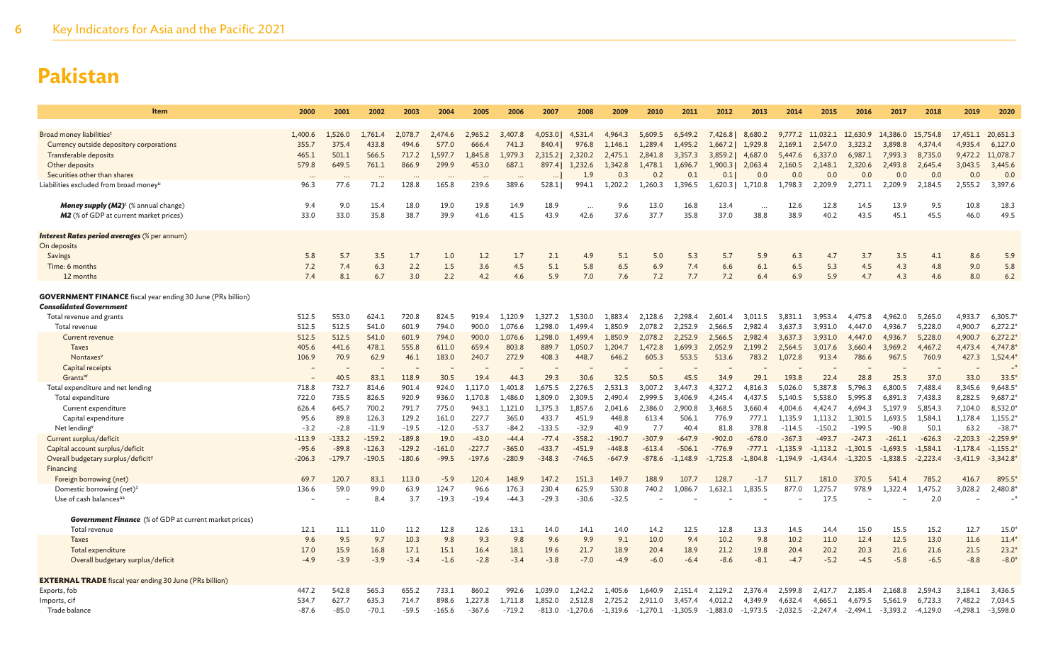| Item                                                                                                 | 2000          | 2001          | 2002           | 2003           | 2004           | 2005           | 2006             | 2007             | 2008             | 2009             | 2010             | 2011             | 2012             | 2013              | 2014               | 2015               | 2016               | 2017               | 2018               | 2019               | 2020               |
|------------------------------------------------------------------------------------------------------|---------------|---------------|----------------|----------------|----------------|----------------|------------------|------------------|------------------|------------------|------------------|------------------|------------------|-------------------|--------------------|--------------------|--------------------|--------------------|--------------------|--------------------|--------------------|
|                                                                                                      |               |               |                |                |                |                |                  |                  |                  |                  |                  |                  |                  |                   |                    |                    |                    |                    |                    |                    |                    |
| Broad money liabilities <sup>t</sup>                                                                 | 1,400.6       | 1,526.0       | 1,761.4        | 2,078.7        | 2.474.6        | 2,965.2        | 3,407.8          | 4,053.0          | 4.531.4          | 4.964.3          | 5,609.5          | 6,549.2          | 7,426.8          | 8,680.2           | 9.777.2            | 11.032.1           | 12,630.9           | 14,386.0           | 15,754.8           | 17,451.1           | 20,651.3           |
| Currency outside depository corporations                                                             | 355.7         | 375.4         | 433.8          | 494.6          | 577.0          | 666.4          | 741.3            | 840.4            | 976.8            | 1,146.1          | 1,289.4          | 1,495.2          | 1,667.2          | 1,929.8           | 2,169.1            | 2,547.0            | 3,323.2            | 3,898.8            | 4,374.4            | 4,935.4            | 6,127.0            |
| Transferable deposits                                                                                | 465.1         | 501.1         | 566.5          | 717.2          | 1.597.7        | 1,845.8        | 1,979.3          | 2,315.2          | 2,320.2          | 2,475.1          | 2,841.8          | 3,357.3          | 3,859.2          | 4,687.0           | 5,447.6            | 6,337.0            | 6,987.1            | 7,993.3            | 8,735.0            | 9,472.2            | 11,078.7           |
| Other deposits                                                                                       | 579.8         | 649.5         | 761.1          | 866.9          | 299.9          | 453.0          | 687.1            | 897.4            | 1,232.6          | 1,342.8          | 1,478.1          | 1,696.7          | 1,900.3          | 2,063.4           | 2,160.5            | 2,148.1            | 2,320.6            | 2,493.8            | 2,645.4            | 3,043.5            | 3,445.6            |
| Securities other than shares                                                                         |               | $\sim$        |                | $\cdots$       | $\cdots$       | $\cdots$       | $\ddotsc$        |                  | 1.9              | 0.3              | 0.2              | 0.1              | 0.1              | 0.0               | 0.0                | 0.0                | 0.0                | 0.0                | 0.0                | 0.0                | 0.0                |
| Liabilities excluded from broad money                                                                | 96.3          | 77.6          | 71.2           | 128.8          | 165.8          | 239.6          | 389.6            | 528.1            | 994.1            | 1,202.2          | 1,260.3          | 1,396.5          |                  | 1,620.3   1,710.8 | 1,798.3            | 2,209.9            | 2,271.1            | 2,209.9            | 2,184.5            | 2,555.2            | 3,397.6            |
| <b>Money supply (M2)</b> <sup>t</sup> (% annual change)                                              | 9.4           | 9.0           | 15.4           | 18.0           | 19.0           | 19.8           | 14.9             | 18.9             | $\ddots$         | 9.6              | 13.0             | 16.8             | 13.4             |                   | 12.6               | 12.8               | 14.5               | 13.9               | 9.5                | 10.8               | 18.3               |
| <b>M2</b> (% of GDP at current market prices)                                                        | 33.0          | 33.0          | 35.8           | 38.7           | 39.9           | 41.6           | 41.5             | 43.9             | 42.6             | 37.6             | 37.7             | 35.8             | 37.0             | 38.8              | 38.9               | 40.2               | 43.5               | 45.1               | 45.5               | 46.0               | 49.5               |
|                                                                                                      |               |               |                |                |                |                |                  |                  |                  |                  |                  |                  |                  |                   |                    |                    |                    |                    |                    |                    |                    |
| Interest Rates period averages (% per annum)                                                         |               |               |                |                |                |                |                  |                  |                  |                  |                  |                  |                  |                   |                    |                    |                    |                    |                    |                    |                    |
| On deposits                                                                                          |               |               |                |                |                |                |                  |                  |                  |                  |                  |                  |                  |                   |                    |                    |                    |                    |                    |                    |                    |
| Savings<br>Time: 6 months                                                                            | 5.8<br>7.2    | 5.7<br>7.4    | 3.5<br>6.3     | 1.7<br>2.2     | 1.0<br>1.5     | 1.2<br>3.6     | 1.7<br>4.5       | 2.1<br>5.1       | 4.9<br>5.8       | 5.1<br>6.5       | 5.0<br>6.9       | 5.3<br>7.4       | 5.7<br>6.6       | 5.9<br>6.1        | 6.3<br>6.5         | 4.7<br>5.3         | 3.7<br>4.5         | 3.5<br>4.3         | 4.1<br>4.8         | 8.6<br>9.0         | 5.9<br>5.8         |
| 12 months                                                                                            | 7.4           | 8.1           | 6.7            | 3.0            | 2.2            | 4.2            | 4.6              | 5.9              | 7.0              | 7.6              | 7.2              | 7.7              | 7.2              | 6.4               | 6.9                | 5.9                | 4.7                | 4.3                | 4.6                | 8.0                | 6.2                |
|                                                                                                      |               |               |                |                |                |                |                  |                  |                  |                  |                  |                  |                  |                   |                    |                    |                    |                    |                    |                    |                    |
| <b>GOVERNMENT FINANCE</b> fiscal year ending 30 June (PRs billion)<br><b>Consolidated Government</b> |               |               |                |                |                |                |                  |                  |                  |                  |                  |                  |                  |                   |                    |                    |                    |                    |                    |                    |                    |
| Total revenue and grants                                                                             | 512.5         | 553.0         | 624.1          | 720.8          | 824.5          | 919.4          | 1.120.9          | 1.327.2          | 1.530.0          | 1.883.4          | 2.128.6          | 2.298.4          | 2.601.4          | 3,011.5           | 3.831.1            | 3.953.4            | 4,475.8            | 4,962.0            | 5,265.0            | 4,933.7            | 6,305.7            |
| Total revenue                                                                                        | 512.5         | 512.5         | 541.0          | 601.9          | 794.0          | 900.0          | 1.076.6          | 1.298.0          | 1.499.4          | 1,850.9          | 2,078.2          | 2,252.9          | 2,566.5          | 2,982.4           | 3,637.3            | 3,931.0            | 4,447.0            | 4,936.7            | 5,228.0            | 4,900.7            | 6,272.2            |
| Current revenue                                                                                      | 512.5         | 512.5         | 541.0          | 601.9          | 794.0          | 900.0          | 1.076.6          | 1,298.0          | 1.499.4          | 1.850.9          | 2,078.2          | 2.252.9          | 2,566.5          | 2,982.4           | 3,637.3            | 3,931.0            | 4,447.0            | 4,936.7            | 5,228.0            | 4,900.7            | 6,272.2            |
| <b>Taxes</b>                                                                                         | 405.6         | 441.6         | 478.1          | 555.8          | 611.0          | 659.4          | 803.8            | 889.7            | 1,050.7          | 1,204.7          | 1,472.8          | 1,699.3          | 2,052.9          | 2,199.2           | 2,564.5            | 3,017.6            | 3,660.4            | 3,969.2            | 4,467.2            | 4,473.4            | 4,747.8            |
| Nontaxes <sup>v</sup>                                                                                | 106.9         | 70.9          | 62.9           | 46.1           | 183.0          | 240.7          | 272.9            | 408.3            | 448.7            | 646.2            | 605.3            | 553.5            | 513.6            | 783.2             | 1,072.8            | 913.4              | 786.6              | 967.5              | 760.9              | 427.3              | 1,524.4*           |
| Capital receipts                                                                                     |               |               |                |                |                |                |                  |                  |                  |                  |                  |                  |                  |                   |                    |                    |                    |                    |                    |                    |                    |
| Grants <sup>w</sup>                                                                                  |               | 40.5          | 83.1           | 118.9          | 30.5           | 19.4           | 44.3             | 29.3             | 30.6             | 32.5             | 50.5             | 45.5             | 34.9             | 29.1              | 193.8              | 22.4               | 28.8               | 25.3               | 37.0               | 33.0               | 33.5'              |
| Total expenditure and net lending                                                                    | 718.8         | 732.7         | 814.6          | 901.4          | 924.0          | 1.117.0        | 1.401.8          | 1.675.5          | 2.276.5          | 2.531.3          | 3.007.2          | 3.447.3          | 4.327.2          | 4.816.3           | 5.026.0            | 5.387.8            | 5.796.3            | 6.800.5            | 7.488.4            | 8.345.6            | 9.648.5            |
| Total expenditure                                                                                    | 722.0         | 735.5         | 826.5          | 920.9          | 936.0          | 1.170.8        | 1.486.0          | 1,809.0          | 2.309.5          | 2.490.4          | 2.999.5          | 3.406.9          | 4,245.4          | 4.437.5           | 5.140.5            | 5,538.0            | 5.995.8            | 6.891.3            | 7.438.3            | 8,282.5            | 9,687.2            |
| Current expenditure<br>Capital expenditure                                                           | 626.4<br>95.6 | 645.7<br>89.8 | 700.2<br>126.3 | 791.7<br>129.2 | 775.0<br>161.0 | 943.1<br>227.7 | 1.121.0<br>365.0 | 1.375.3<br>433.7 | 1.857.6<br>451.9 | 2.041.6<br>448.8 | 2.386.0<br>613.4 | 2.900.8<br>506.1 | 3,468.5<br>776.9 | 3.660.4<br>777.1  | 4.004.6<br>1,135.9 | 4,424.7<br>1,113.2 | 4.694.3<br>1,301.5 | 5.197.9<br>1,693.5 | 5,854.3<br>1,584.1 | 7,104.0<br>1,178.4 | 8,532.0<br>1,155.2 |
| Net lending <sup>x</sup>                                                                             | $-3.2$        | $-2.8$        | $-11.9$        | $-19.5$        | $-12.0$        | $-53.7$        | $-84.2$          | $-133.5$         | $-32.9$          | 40.9             | 7.7              | 40.4             | 81.8             | 378.8             | $-114.5$           | $-150.2$           | $-199.5$           | $-90.8$            | 50.1               | 63.2               | $-38.7$            |
| Current surplus/deficit                                                                              | $-113.9$      | $-133.2$      | $-159.2$       | $-189.8$       | 19.0           | $-43.0$        | $-44.4$          | $-77.4$          | $-358.2$         | $-190.7$         | $-307.9$         | $-647.9$         | $-902.0$         | $-678.0$          | $-367.3$           | $-493.7$           | $-247.3$           | $-261.1$           | $-626.3$           | $-2,203.3$         | $-2,259.9$         |
| Capital account surplus/deficit                                                                      | $-95.6$       | $-89.8$       | $-126.3$       | $-129.2$       | $-161.0$       | $-227.7$       | $-365.0$         | $-433.7$         | $-451.9$         | $-448.8$         | $-613.4$         | $-506.1$         | $-776.9$         | $-777.1$          | $-1,135.9$         | $-1,113.2$         | $-1,301.5$         | $-1,693.5$         | $-1,584.1$         | $-1,178.4$         | $-1,155.2$         |
| Overall budgetary surplus/deficit <sup>y</sup>                                                       | $-206.3$      | $-179.7$      | $-190.5$       | $-180.6$       | $-99.5$        | $-197.6$       | $-280.9$         | $-348.3$         | $-746.5$         | $-647.9$         | $-878.6$         | $-1.148.9$       | $-1.725.8$       | $-1.804.8$        | $-1.194.9$         | $-1.434.4$         | $-1,320.5$         | $-1,838.5$         | $-2,223.4$         | $-3,411.9$         | $-3,342.8$         |
| Financing                                                                                            |               |               |                |                |                |                |                  |                  |                  |                  |                  |                  |                  |                   |                    |                    |                    |                    |                    |                    |                    |
| Foreign borrowing (net)                                                                              | 69.7          | 120.7         | 83.1           | 113.0          | $-5.9$         | 120.4          | 148.9            | 147.2            | 151.3            | 149.7            | 188.9            | 107.7            | 128.7            | $-1.7$            | 511.7              | 181.0              | 370.5              | 541.4              | 785.2              | 416.7              | 895.5              |
| Domestic borrowing (net) <sup>z</sup>                                                                | 136.6         | 59.0          | 99.0           | 63.9           | 124.7          | 96.6           | 176.3            | 230.4            | 625.9            | 530.8            | 740.2            | 1,086.7          | 1,632.1          | 1,835.5           | 877.0              | 1,275.7            | 978.9              | ,322.4             | 1,475.2            | 3,028.2            | 2,480.8            |
| Use of cash balances <sup>aa</sup>                                                                   |               |               | 8.4            | 3.7            | $-19.3$        | $-19.4$        | $-44.3$          | $-29.3$          | $-30.6$          | $-32.5$          |                  |                  |                  |                   |                    | 17.5               |                    |                    | 2.0                |                    |                    |
| <b>Government Finance</b> (% of GDP at current market prices)                                        |               |               |                |                |                |                |                  |                  |                  |                  |                  |                  |                  |                   |                    |                    |                    |                    |                    |                    |                    |
| Total revenue                                                                                        | 12.1          | 11.1          | 11.0           | 11.2           | 12.8           | 12.6           | 13.1             | 14.0             | 14.1             | 14.0             | 14.2             | 12.5             | 12.8             | 13.3              | 14.5               | 14.4               | 15.0               | 15.5               | 15.2               | 12.7               | $15.0^{\circ}$     |
| <b>Taxes</b>                                                                                         | 9.6           | 9.5           | 9.7            | 10.3           | 9.8            | 9.3            | 9.8              | 9.6              | 9.9              | 9.1              | 10.0             | 9.4              | 10.2             | 9.8               | 10.2               | 11.0               | 12.4               | 12.5               | 13.0               | 11.6               | 11.4               |
| Total expenditure                                                                                    | 17.0          | 15.9          | 16.8           | 17.1           | 15.1           | 16.4           | 18.1             | 19.6             | 21.7             | 18.9             | 20.4             | 18.9             | 21.2             | 19.8              | 20.4               | 20.2               | 20.3               | 21.6               | 21.6               | 21.5               | $23.2*$            |
| Overall budgetary surplus/deficit                                                                    | $-4.9$        | $-3.9$        | $-3.9$         | $-3.4$         | $-1.6$         | $-2.8$         | $-3.4$           | $-3.8$           | $-7.0$           | $-4.9$           | $-6.0$           | $-6.4$           | $-8.6$           | $-8.1$            | $-4.7$             | $-5.2$             | $-4.5$             | $-5.8$             | $-6.5$             | $-8.8$             | $-8.0$             |
|                                                                                                      |               |               |                |                |                |                |                  |                  |                  |                  |                  |                  |                  |                   |                    |                    |                    |                    |                    |                    |                    |
| <b>EXTERNAL TRADE</b> fiscal year ending 30 June (PRs billion)                                       | 447.2         | 542.8         | 565.3          | 655.2          | 733.1          | 860.2          | 992.6            | 1.039.0          | 1,242.2          | 1,405.6          | 1,640.9          | 2,151.4          | 2,129.2          | 2,376.4           | 2.599.8            |                    | 2,185.4            | 2,168.8            | 2,594.3            | 3,184.1            | 3,436.5            |
| Exports, fob<br>Imports, cif                                                                         | 534.7         | 627.7         | 635.3          | 714.7          | 898.6          | 1.227.8        | 1.711.8          | 1.852.0          | 2.512.8          | 2.725.2          | 2.911.0          | 3,457.4          | 4.012.2          | 4.349.9           | 4.632.4            | 2,417.7<br>4.665.1 | 4.679.5            | 5.561.9            | 6.723.3            | 7,482.2            | 7,034.5            |
| Trade balance                                                                                        | $-87.6$       | $-85.0$       | $-70.1$        | $-59.5$        | $-165.6$       | $-367.6$       | $-719.2$         | $-813.0$         | $-1,270.6$       | $-1,319.6$       | $-1,270.1$       | $-1,305.9$       | $-1,883.0$       | $-1,973.5$        | $-2,032.5$         | $-2,247.4$         | $-2,494.1$         | $-3,393.2$         | $-4,129.0$         | $-4,298.1$         | $-3,598.0$         |
|                                                                                                      |               |               |                |                |                |                |                  |                  |                  |                  |                  |                  |                  |                   |                    |                    |                    |                    |                    |                    |                    |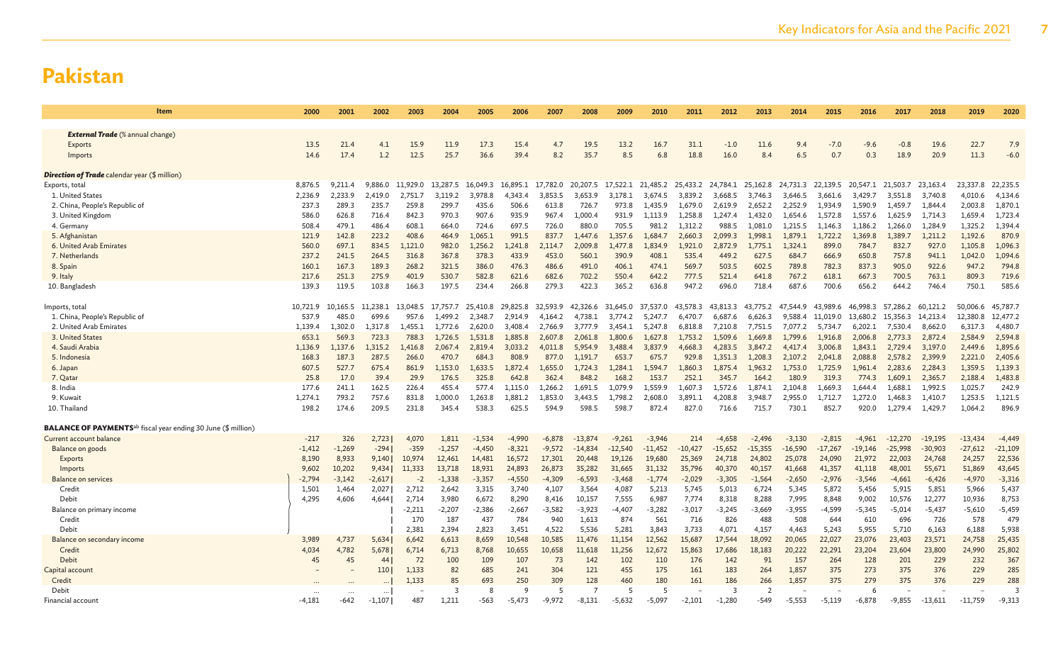| <b>Item</b>                                                                      | 2000     | 2001     | 2002     | 2003     | 2004     | 2005     | 2006     | 2007     | 2008              | 2009      | 2010      | 2011              | 2012      | 2013      | 2014              | 2015      | 2016      | 2017      | 2018      | 2019      | 2020      |
|----------------------------------------------------------------------------------|----------|----------|----------|----------|----------|----------|----------|----------|-------------------|-----------|-----------|-------------------|-----------|-----------|-------------------|-----------|-----------|-----------|-----------|-----------|-----------|
|                                                                                  |          |          |          |          |          |          |          |          |                   |           |           |                   |           |           |                   |           |           |           |           |           |           |
| <b>External Trade</b> (% annual change)                                          |          |          |          |          |          |          |          |          |                   |           |           |                   |           |           |                   |           |           |           |           |           |           |
| <b>Exports</b>                                                                   | 13.5     | 21.4     | 4.1      | 15.9     | 11.9     | 17.3     | 15.4     | 4.7      | 19.5              | 13.2      | 16.7      | 31.1              | $-1.0$    | 11.6      | 9.4               | $-7.0$    | $-9.6$    | $-0.8$    | 19.6      | 22.7      | 7.9       |
| Imports                                                                          | 14.6     | 17.4     | 1.2      | 12.5     | 25.7     | 36.6     | 39.4     | 8.2      | 35.7              | 8.5       | 6.8       | 18.8              | 16.0      | 8.4       | 6.5               | 0.7       | 0.3       | 18.9      | 20.9      | 11.3      | $-6.0$    |
| <b>Direction of Trade</b> calendar year (\$ million)                             |          |          |          |          |          |          |          |          |                   |           |           |                   |           |           |                   |           |           |           |           |           |           |
| Exports, total                                                                   | 8,876.5  | 9.211.4  | 9,886.0  | 11,929.0 | 13,287.5 | 16,049.3 | 16,895.1 | 17,782.0 | 20,207.5 17,522.1 |           | 21,485.2  | 25,433.2 24,784.1 |           | 25,162.8  | 24,731.3 22,139.5 |           | 20,547.1  | 21,503.7  | 23,163.4  | 23,337.8  | 22,235.5  |
| 1. United States                                                                 | 2.236.9  | 2.233.9  | 2.419.0  | 2,751.7  | 3.119.2  | 3,978.8  | 4,343.4  | 3.853.5  | 3,653.9           | 3,178.1   | 3.674.5   | 3.839.2           | 3.668.5   | 3,746.3   | 3.646.5           | 3.661.6   | 3,429.7   | 3,551.8   | 3,740.8   | 4,010.6   | 4,134.6   |
| 2. China, People's Republic of                                                   | 237.3    | 289.3    | 235.7    | 259.8    | 299.7    | 435.6    | 506.6    | 613.8    | 726.7             | 973.8     | 1,435.9   | 1,679.0           | 2,619.9   | 2,652.2   | 2,252.9           | 1.934.9   | 1,590.9   | 1,459.7   | 1,844.4   | 2,003.8   | 1,870.1   |
| 3. United Kingdom                                                                | 586.0    | 626.8    | 716.4    | 842.3    | 970.3    | 907.6    | 935.9    | 967.4    | 1,000.4           | 931.9     | 1,113.9   | 1,258.8           | 1,247.4   | 1,432.0   | 1,654.6           | 1,572.8   | 1,557.6   | 1,625.9   | 1,714.3   | 1,659.4   | 1,723.4   |
| 4. Germany                                                                       | 508.4    | 479.1    | 486.4    | 608.1    | 664.0    | 724.6    | 697.5    | 726.0    | 880.0             | 705.5     | 981.2     | 1.312.2           | 988.5     | 1.081.0   | 1.215.5           | 1.146.3   | 1.186.2   | 1.266.0   | 1,284.9   | 1.325.2   | 1,394.4   |
| 5. Afghanistan                                                                   | 121.9    | 142.8    | 223.2    | 408.6    | 464.9    | 1,065.1  | 991.5    | 837.7    | 1,447.6           | 1,357.6   | 1.684.7   | 2,660.3           | 2,099.3   | 1,998.1   | 1,879.1           | 1,722.2   | 1,369.8   | 1,389.7   | 1,211.2   | 1,192.6   | 870.9     |
| 6. United Arab Emirates                                                          | 560.0    | 697.1    | 834.5    | 1,121.0  | 982.0    | 1,256.2  | 1,241.8  | 2.114.7  | 2,009.8           | 1.477.8   | 1,834.9   | 1.921.0           | 2,872.9   | 1.775.1   | 1,324.1           | 899.0     | 784.7     | 832.7     | 927.0     | 1,105.8   | 1,096.3   |
| 7. Netherlands                                                                   | 237.2    | 241.5    | 264.5    | 316.8    | 367.8    | 378.3    | 433.9    | 453.0    | 560.1             | 390.9     | 408.1     | 535.4             | 449.2     | 627.5     | 684.7             | 666.9     | 650.8     | 757.8     | 941.1     | 1.042.0   | 1,094.6   |
| 8. Spain                                                                         | 160.1    | 167.3    | 189.3    | 268.2    | 321.5    | 386.0    | 476.3    | 486.6    | 491.0             | 406.1     | 474.1     | 569.7             | 503.5     | 602.5     | 789.8             | 782.3     | 837.3     | 905.0     | 922.6     | 947.2     | 794.8     |
| 9. Italy                                                                         | 217.6    | 251.3    | 275.9    | 401.9    | 530.7    | 582.8    | 621.6    | 682.6    | 702.2             | 550.4     | 642.2     | 777.5             | 521.4     | 641.8     | 767.2             | 618.1     | 667.3     | 700.5     | 763.1     | 809.3     | 719.6     |
| 10. Bangladesh                                                                   | 139.3    | 119.5    | 103.8    | 166.3    | 197.5    | 234.4    | 266.8    | 279.3    | 422.3             | 365.2     | 636.8     | 947.2             | 696.0     | 718.4     | 687.6             | 700.6     | 656.2     | 644.2     | 746.4     | 750.1     | 585.6     |
| Imports, total                                                                   | 10.721.9 | 10.165.5 | 11.238.1 | 13,048.5 | 17.757.7 | 25,410.8 | 29,825.8 | 32.593.9 | 42.326.6          | 31,645.0  | 37.537.0  | 43.578.3          | 43,813.3  | 43.775.2  | 47,544.9          | 43.989.6  | 46,998.3  | 57.286.2  | 60.121.2  | 50,006.6  | 45,787.7  |
| 1. China, People's Republic of                                                   | 537.9    | 485.0    | 699.6    | 957.6    | 1.499.2  | 2.348.7  | 2.914.9  | 4.164.2  | 4,738.1           | 3.774.2   | 5,247.7   | 6,470.7           | 6.687.6   | 6.626.3   | 9.588.4           | 11.019.0  | 13,680.2  | 15.356.3  | 14.213.4  | 12,380.8  | 12,477.2  |
| 2. United Arab Emirates                                                          | 1,139.4  | 1.302.0  | 1,317.8  | 1,455.1  | 1,772.6  | 2,620.0  | 3,408.4  | 2,766.9  | 3,777.9           | 3,454.1   | 5,247.8   | 6,818.8           | 7,210.8   | 7,751.5   | 7,077.2           | 5,734.7   | 6,202.1   | 7,530.4   | 8,662.0   | 6,317.3   | 4,480.7   |
| 3. United States                                                                 | 653.1    | 569.3    | 723.3    | 788.3    | 1.726.5  | 1,531.8  | 1,885.8  | 2,607.8  | 2,061.8           | 1,800.6   | 1,627.8   | 1,753.2           | 1.509.6   | 1,669.8   | 1,799.6           | 1.916.8   | 2,006.8   | 2,773.3   | 2,872.4   | 2,584.9   | 2,594.8   |
| 4. Saudi Arabia                                                                  | 1,136.9  | 1.137.6  | 1.315.2  | 1.416.8  | 2,067.4  | 2.819.4  | 3,033.2  | 4.011.8  | 5.954.9           | 3.488.4   | 3,837.9   | 4.668.3           | 4.283.5   | 3,847.2   | 4.417.4           | 3,006.8   | 1,843.1   | 2.729.4   | 3,197.0   | 2,449.6   | 1,895.6   |
| 5. Indonesia                                                                     | 168.3    | 187.3    | 287.5    | 266.0    | 470.7    | 684.3    | 808.9    | 877.0    | 1,191.7           | 653.7     | 675.7     | 929.8             | 1,351.3   | 1,208.3   | 2,107.2           | 2,041.8   | 2,088.8   | 2,578.2   | 2,399.9   | 2,221.0   | 2,405.6   |
| 6. Japan                                                                         | 607.5    | 527.7    | 675.4    | 861.9    | 1.153.0  | 1,633.5  | 1,872.4  | 1.655.0  | 1,724.3           | 1,284.1   | 1.594.7   | 1,860.3           | 1,875.4   | 1,963.2   | 1,753.0           | 1,725.9   | 1,961.4   | 2,283.6   | 2,284.3   | 1,359.5   | 1,139.3   |
| 7. Qatar                                                                         | 25.8     | 17.0     | 39.4     | 29.9     | 176.5    | 325.8    | 642.8    | 362.4    | 848.2             | 168.2     | 153.7     | 252.1             | 345.7     | 164.2     | 180.9             | 319.3     | 774.3     | 1,609.1   | 2,365.7   | 2,188.4   | 1,483.8   |
| 8. India                                                                         | 177.6    | 241.1    | 162.5    | 226.4    | 455.4    | 577.4    | 1,115.0  | 1,266.2  | 1,691.5           | 1,079.9   | 1,559.9   | 1,607.3           | 1.572.6   | 1.874.1   | 2.104.8           | 1,669.3   | 1.644.4   | 1,688.1   | 1,992.5   | 1,025.7   | 242.9     |
| 9. Kuwait                                                                        | 1.274.1  | 793.2    | 757.6    | 831.8    | 1,000.0  | 1,263.8  | 1,881.2  | 1.853.0  | 3,443.5           | 1.798.2   | 2,608.0   | 3,891.1           | 4,208.8   | 3,948.7   | 2,955.0           | 1,712.7   | 1,272.0   | 1,468.3   | 1.410.7   | 1,253.5   | 1,121.5   |
| 10. Thailand                                                                     | 198.2    | 174.6    | 209.5    | 231.8    | 345.4    | 538.3    | 625.5    | 594.9    | 598.5             | 598.7     | 872.4     | 827.0             | 716.6     | 715.7     | 730.1             | 852.7     | 920.0     | 1,279.4   | 1.429.7   | 1.064.2   | 896.9     |
| <b>BALANCE OF PAYMENTS</b> <sup>ab</sup> fiscal year ending 30 June (\$ million) |          |          |          |          |          |          |          |          |                   |           |           |                   |           |           |                   |           |           |           |           |           |           |
| Current account balance                                                          | $-217$   | 326      | 2,723    | 4.070    | 1,811    | $-1,534$ | -4.990   | $-6.878$ | $-13.874$         | $-9.261$  | $-3.946$  | 214               | $-4.658$  | $-2.496$  | $-3.130$          | $-2.815$  | $-4.961$  | $-12.270$ | $-19.195$ | $-13.434$ | $-4,449$  |
| Balance on goods                                                                 | $-1,412$ | $-1,269$ | $-294$   | $-359$   | $-1,257$ | $-4,450$ | $-8,321$ | $-9,572$ | $-14,834$         | $-12,540$ | $-11,452$ | $-10,427$         | $-15,652$ | $-15,355$ | $-16,590$         | $-17,267$ | $-19,146$ | $-25,998$ | $-30,903$ | $-27,612$ | $-21,109$ |
| Exports                                                                          | 8,190    | 8,933    | 9,140    | 10,974   | 12,461   | 14,481   | 16,572   | 17,301   | 20,448            | 19,126    | 19,680    | 25,369            | 24,718    | 24,802    | 25,078            | 24,090    | 21,972    | 22,003    | 24,768    | 24,257    | 22,536    |
| Imports                                                                          | 9,602    | 10,202   | 9,434    | 11,333   | 13,718   | 18,931   | 24,893   | 26,873   | 35,282            | 31,665    | 31,132    | 35,796            | 40,370    | 40,157    | 41,668            | 41,357    | 41,118    | 48,001    | 55,671    | 51,869    | 43,645    |
| Balance on services                                                              | $-2,794$ | $-3,142$ | $-2,617$ | $-2$     | $-1,338$ | $-3,357$ | $-4,550$ | $-4,309$ | $-6,593$          | $-3,468$  | $-1,774$  | $-2,029$          | $-3,305$  | $-1,564$  | $-2,650$          | $-2,976$  | $-3,546$  | $-4,661$  | $-6,426$  | $-4,970$  | $-3,316$  |
| Credit                                                                           | 1,501    | 1,464    | 2,027    | 2,712    | 2,642    | 3,315    | 3,740    | 4,107    | 3,564             | 4,087     | 5,213     | 5,745             | 5,013     | 6,724     | 5,345             | 5,872     | 5,456     | 5,915     | 5,851     | 5,966     | 5,437     |
| Debit                                                                            | 4.295    | 4,606    | 4.644    | 2,714    | 3,980    | 6,672    | 8,290    | 8,416    | 10,157            | 7,555     | 6,987     | 7,774             | 8,318     | 8,288     | 7,995             | 8,848     | 9,002     | 10,576    | 12,277    | 10,936    | 8,753     |
| Balance on primary income                                                        |          |          |          | $-2,211$ | $-2,207$ | $-2,386$ | $-2,667$ | $-3,582$ | $-3,923$          | $-4,407$  | $-3,282$  | $-3,017$          | $-3,245$  | $-3,669$  | $-3,955$          | $-4,599$  | $-5,345$  | $-5,014$  | $-5,437$  | $-5,610$  | $-5,459$  |
| Credit                                                                           |          |          |          | 170      | 187      | 437      | 784      | 940      | 1,613             | 874       | 561       | 716               | 826       | 488       | 508               | 644       | 610       | 696       | 726       | 578       | 479       |
| Debit                                                                            |          |          |          | 2,381    | 2.394    | 2.823    | 3,451    | 4.522    | 5,536             | 5,281     | 3.843     | 3,733             | 4,071     | 4.157     | 4.463             | 5,243     | 5.955     | 5,710     | 6,163     | 6,188     | 5,938     |
| Balance on secondary income                                                      | 3,989    | 4,737    | 5,634    | 6,642    | 6,613    | 8,659    | 10,548   | 10,585   | 11,476            | 11,154    | 12,562    | 15,687            | 17,544    | 18,092    | 20,065            | 22,027    | 23,076    | 23,403    | 23,571    | 24,758    | 25,435    |
| Credit                                                                           | 4,034    | 4,782    | 5,678    | 6,714    | 6,713    | 8,768    | 10,655   | 10,658   | 11,618            | 11,256    | 12,672    | 15,863            | 17,686    | 18,183    | 20,222            | 22,291    | 23,204    | 23,604    | 23,800    | 24,990    | 25,802    |
| Debit                                                                            | 45       | 45       | 44       | 72       | 100      | 109      | 107      | 73       | 142               | 102       | 110       | 176               | 142       | 91        | 157               | 264       | 128       | 201       | 229       | 232       | 367       |
| Capital account                                                                  |          |          | 110      | 1,133    | 82       | 685      | 241      | 304      | 121               | 455       | 175       | 161               | 183       | 264       | 1,857             | 375       | 273       | 375       | 376       | 229       | 285       |
| Credit                                                                           |          |          |          | 1,133    | 85       | 693      | 250      | 309      | 128               | 460       | 180       | 161               | 186       | 266       | 1,857             | 375       | 279       | 375       | 376       | 229       | 288       |
| Debit                                                                            |          | $\cdots$ | $\cdots$ |          | 3        | 8        | <b>q</b> | 5        |                   | -5        | -5        |                   | 3         | 2         |                   |           | 6         |           |           |           |           |
| Financial account                                                                | $-4,181$ | -642     | $-1,107$ | 487      | 1,211    | $-563$   | $-5,473$ | $-9,972$ | $-8,131$          | $-5,632$  | $-5,097$  | $-2,101$          | $-1,280$  | $-549$    | $-5,553$          | $-5,119$  | $-6,878$  | $-9,855$  | $-13,611$ | $-11,759$ | $-9,313$  |
|                                                                                  |          |          |          |          |          |          |          |          |                   |           |           |                   |           |           |                   |           |           |           |           |           |           |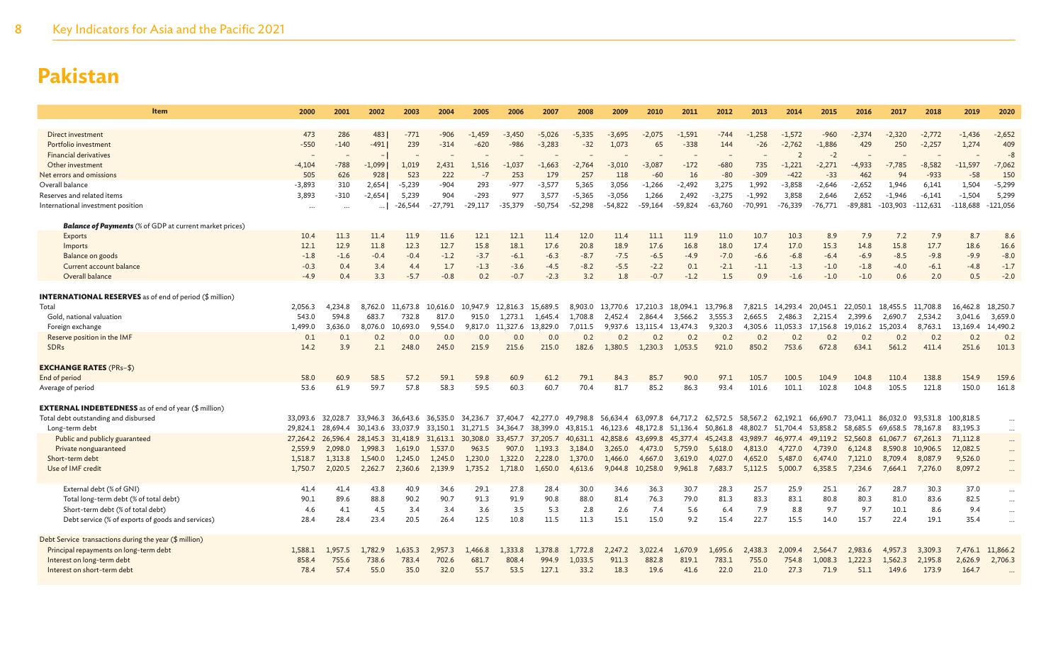| <b>Item</b>                                                    | 2000            | 2001          | 2002                  | 2003             | 2004          | 2005              | 2006         | 2007           | 2008              | 2009             | 2010          | 2011              | 2012              | 2013          | 2014          | 2015             | 2016            | 2017             | 2018             | 2019             | 2020               |
|----------------------------------------------------------------|-----------------|---------------|-----------------------|------------------|---------------|-------------------|--------------|----------------|-------------------|------------------|---------------|-------------------|-------------------|---------------|---------------|------------------|-----------------|------------------|------------------|------------------|--------------------|
|                                                                |                 |               |                       |                  |               |                   |              |                |                   |                  |               |                   |                   |               |               |                  |                 |                  |                  |                  |                    |
| Direct investment                                              | 473             | 286           | 483                   | $-771$           | $-906$        | $-1.459$          | $-3,450$     | $-5,026$       | $-5,335$          | $-3,695$         | $-2,075$      | $-1.591$          | $-744$            | $-1.258$      | $-1.572$      | $-960$           | $-2,374$        | $-2.320$         | $-2,772$         | $-1.436$         | $-2,652$           |
| Portfolio investment                                           | $-550$          | $-140$        | $-491$                | 239              | $-314$        | $-620$            | $-986$       | $-3,283$       | $-32$             | 1,073            | 65            | $-338$            | 144               | $-26$         | $-2,762$      | $-1,886$         | 429             | 250              | $-2,257$         | 1,274            | 409<br>$-\epsilon$ |
| <b>Financial derivatives</b><br>Other investment               |                 | $-788$        | $-1,099$              |                  | 2,431         | 1,516             | $-1,037$     | $-1,663$       |                   | $-3,010$         | $-3,087$      | $-172$            | $-680$            | 735           | $-1,221$      | $-2$<br>$-2,271$ | $-4,933$        | $-7,785$         | $-8,582$         | $-11,597$        | $-7,062$           |
| Net errors and omissions                                       | $-4,104$<br>505 | 626           | 928                   | 1,019<br>523     | 222           | $-7$              | 253          | 179            | $-2,764$<br>257   | 118              | $-60$         | 16                | $-80$             | $-309$        | $-422$        | $-33$            | 462             | 94               | $-933$           | $-58$            | 150                |
| Overall balance                                                | $-3,893$        | 310           | 2,654                 | $-5,239$         | $-904$        | 293               | $-977$       | $-3,577$       | 5,365             | 3,056            | $-1,266$      | $-2,492$          | 3,275             | 1,992         | $-3,858$      | $-2,646$         | $-2,652$        | 1,946            | 6,141            | 1,504            | $-5,299$           |
| Reserves and related items                                     | 3,893           | $-310$        | $-2,654$              | 5,239            | 904           | $-293$            | 977          | 3,577          | $-5,365$          | $-3,056$         | 1,266         | 2,492             | $-3,275$          | $-1,992$      | 3,858         | 2,646            | 2,652           | $-1,946$         | $-6,141$         | $-1,504$         | 5,299              |
| International investment position                              |                 |               |                       | $-26,544$        | $-27.791$     | $-29,117$         | $-35.379$    | $-50.754$      | $-52,298$         | $-54,822$        | $-59,164$     | $-59,824$         | $-63,760$         | $-70,991$     | $-76,339$     | $-76.771$        | $-89,881$       | $-103,903$       | $-112,631$       | $-118,688$       | $-121,056$         |
|                                                                |                 |               | $\cdots$              |                  |               |                   |              |                |                   |                  |               |                   |                   |               |               |                  |                 |                  |                  |                  |                    |
| <b>Balance of Payments</b> (% of GDP at current market prices) |                 |               |                       |                  |               |                   |              |                |                   |                  |               |                   |                   |               |               |                  |                 |                  |                  |                  |                    |
| Exports                                                        | 10.4            | 11.3          | 11.4                  | 11.9             | 11.6          | 12.1              | 12.1         | 11.4           | 12.0              | 11.4             | 11.1          | 11.9              | 11.0              | 10.7          | 10.3          | 8.9              | 7.9             | 7.2              | 7.9              | 8.7              | 8.6                |
| Imports                                                        | 12.1            | 12.9          | 11.8                  | 12.3             | 12.7          | 15.8              | 18.1         | 17.6           | 20.8              | 18.9             | 17.6          | 16.8              | 18.0              | 17.4          | 17.0          | 15.3             | 14.8            | 15.8             | 17.7             | 18.6             | 16.6               |
| Balance on goods                                               | $-1.8$          | $-1.6$        | $-0.4$                | $-0.4$           | $-1.2$        | $-3.7$            | $-6.1$       | $-6.3$         | $-8.7$            | $-7.5$           | $-6.5$        | $-4.9$            | $-7.0$            | $-6.6$        | $-6.8$        | $-6.4$           | $-6.9$          | $-8.5$           | $-9.8$           | $-9.9$           | $-8.0$             |
| Current account balance                                        | $-0.3$          | 0.4           | 3.4                   | 4.4              | 1.7           | $-1.3$            | $-3.6$       | $-4.5$         | $-8.2$            | $-5.5$           | $-2.2$        | 0.1               | $-2.1$            | $-1.1$        | $-1.3$        | $-1.0$           | $-1.8$          | $-4.0$           | $-6.1$           | $-4.8$           | $-1.7$             |
| Overall balance                                                | $-4.9$          | 0.4           | 3.3                   | $-5.7$           | $-0.8$        | 0.2               | $-0.7$       | $-2.3$         | 3.2               | 1.8              | $-0.7$        | $-1.2$            | 1.5               | 0.9           | $-1.6$        | $-1.0$           | $-1.0$          | 0.6              | 2.0              | 0.5              | $-2.0$             |
| <b>INTERNATIONAL RESERVES</b> as of end of period (\$ million) |                 |               |                       |                  |               |                   |              |                |                   |                  |               |                   |                   |               |               |                  |                 |                  |                  |                  |                    |
| Total                                                          | 2,056.3         | 4,234.8       |                       | 8,762.0 11,673.8 | 10,616.0      | 10,947.9 12,816.3 |              | 15,689.5       |                   | 8,903.0 13,770.6 | 17,210.3      | 18,094.1 13,796.8 |                   | 7,821.5       | 14,293.4      | 20,045.1         | 22,050.1        | 18,455.5         | 11,708.8         | 16,462.8         | 18,250.7           |
| Gold, national valuation                                       | 543.0           | 594.8         | 683.7                 | 732.8            | 817.0         | 915.0             | 1,273.1      | 1,645.4        | 1,708.8           | 2,452.4          | 2,864.4       | 3,566.2           | 3,555.3           | 2,665.5       | 2,486.3       | 2,215.4          | 2,399.6         | 2,690.7          | 2,534.2          | 3,041.6          | 3,659.0            |
| Foreign exchange                                               | 1,499.0         | 3,636.0       | 8,076.0               | 10,693.0         | 9.554.0       | 9,817.0           | 11,327.6     | 13,829.0       | 7,011.5           | 9,937.6          | 13,115.4      | 13,474.3          | 9,320.3           | 4,305.6       | 11,053.3      | 17,156.8         | 19,016.2        | 15,203.4         | 8,763.1          | 13,169.4         | 14,490.2           |
| Reserve position in the IMF                                    | 0.1             | 0.1           | 0.2                   | 0.0              | 0.0           | 0.0               | 0.0          | 0.0            | 0.2               | 0.2              | 0.2           | 0.2               | 0.2               | 0.2           | 0.2           | 0.2              | 0.2             | 0.2              | 0.2              | 0.2              | 0.2                |
| <b>SDRs</b>                                                    | 14.2            | 3.9           | 2.1                   | 248.0            | 245.0         | 215.9             | 215.6        | 215.0          | 182.6             | 1.380.5          | 1.230.3       | 1.053.5           | 921.0             | 850.2         | 753.6         | 672.8            | 634.1           | 561.2            | 411.4            | 251.6            | 101.3              |
|                                                                |                 |               |                       |                  |               |                   |              |                |                   |                  |               |                   |                   |               |               |                  |                 |                  |                  |                  |                    |
| <b>EXCHANGE RATES (PRs-\$)</b>                                 |                 |               |                       |                  |               |                   |              |                |                   |                  |               |                   |                   |               |               |                  |                 |                  |                  |                  |                    |
| End of period                                                  | 58.0            | 60.9          | 58.5                  | 57.2             | 59.1          | 59.8              | 60.9         | 61.2           | 79.1              | 84.3             | 85.7          | 90.0              | 97.1              | 105.7         | 100.5         | 104.9            | 104.8           | 110.4            | 138.8            | 154.9            | 159.6              |
| Average of period                                              | 53.6            | 61.9          | 59.7                  | 57.8             | 58.3          | 59.5              | 60.3         | 60.7           | 70.4              | 81.7             | 85.2          | 86.3              | 93.4              | 101.6         | 101.1         | 102.8            | 104.8           | 105.5            | 121.8            | 150.0            | 161.8              |
|                                                                |                 |               |                       |                  |               |                   |              |                |                   |                  |               |                   |                   |               |               |                  |                 |                  |                  |                  |                    |
| <b>EXTERNAL INDEBTEDNESS</b> as of end of year (\$ million)    |                 |               |                       |                  |               |                   |              |                |                   |                  |               |                   |                   |               |               |                  |                 |                  |                  |                  |                    |
| Total debt outstanding and disbursed                           | 33.093.6        | 32,028.7      | 33,946.3 36,643.6     |                  | 36,535.0      | 34.236.7 37.404.7 |              | 42,277.0       | 49,798.8 56,634.4 |                  | 63,097.8      |                   | 64,717.2 62,572.5 | 58,567.2      | 62.192.1      | 66.690.7         | 73,041.1        | 86.032.0         | 93,531.8         | 100,818.5        | $\cdots$           |
| Long-term debt                                                 | 29,824.1        | 28,694.4      | 30.143.6              | 33,037.9         | 33.150.1      | 31,271.5          | 34.364.7     | 38,399.0       | 43.815.1          | 46.123.6         | 48,172.8      | 51.136.4          | 50.861.8          | 48,802.7      | 51.704.4      | 53.858.2         | 58.685.5        | 69.658.5         | 78,167.8         | 83,195.3         | $\ldots$           |
| Public and publicly guaranteed                                 | 27,264.2        | 26,596.4      | 28, 145. 3 31, 418. 9 |                  | 31,613.1      | 30,308.0          | 33,457.7     | 37,205.7       | 40,631.1          | 42,858.6         | 43,699.8      | 45,377.4          | 45,243.8          | 43,989.7      | 46,977.4      | 49,119.2         | 52,560.8        | 61,067.7         | 67,261.3         | 71,112.8         | $\cdots$           |
| Private nonguaranteed                                          | 2,559.9         | 2,098.0       | 1,998.3               | 1,619.0          | 1,537.0       | 963.5             | 907.0        | 1,193.3        | 3,184.0           | 3,265.0          | 4,473.0       | 5,759.0           | 5,618.0           | 4,813.0       | 4.727.0       | 4.739.0          | 6,124.8         | 8,590.8          | 10,906.5         | 12,082.5         | $\cdots$           |
| Short-term debt                                                | 1,518.7         | 1.313.8       | 1,540.0               | 1,245.0          | 1,245.0       | 1,230.0           | 1,322.0      | 2,228.0        | 1,370.0           | 1,466.0          | 4,667.0       | 3,619.0           | 4,027.0           | 4,652.0       | 5,487.0       | 6,474.0          | 7,121.0         | 8,709.4          | 8,087.9          | 9,526.0          | $\cdots$           |
| Use of IMF credit                                              | 1,750.7         | 2,020.5       | 2,262.7               | 2,360.6          | 2,139.9       | 1,735.2           | 1,718.0      | 1,650.0        | 4,613.6           | 9,044.8          | 10,258.0      | 9,961.8           | 7,683.7           | 5,112.5       | 5,000.7       | 6,358.5          | 7,234.6         | 7,664.1          | 7,276.0          | 8,097.2          | $\cdots$           |
| External debt (% of GNI)                                       | 41.4            | 41.4          | 43.8                  | 40.9             | 34.6          | 29.1              | 27.8         | 28.4           | 30.0              | 34.6             | 36.3          | 30.7              | 28.3              | 25.7          | 25.9          | 25.1             | 26.7            | 28.7             | 30.3             | 37.0             | $\cdots$           |
| Total long-term debt (% of total debt)                         | 90.1            | 89.6          | 88.8                  | 90.2             | 90.7          | 91.3              | 91.9         | 90.8           | 88.0              | 81.4             | 76.3          | 79.0              | 81.3              | 83.3          | 83.1          | 80.8             | 80.3            | 81.0             | 83.6             | 82.5             | $\cdots$           |
| Short-term debt (% of total debt)                              | 4.6             | 4.1           | 4.5                   | 3.4              | 3.4           | 3.6               | 3.5          | 5.3            | 2.8               | 2.6              | 7.4           | 5.6               | 6.4               | 7.9           | 8.8           | 9.7              | 9.7             | 10.1             | 8.6              | 9.4              | $\ldots$           |
| Debt service (% of exports of goods and services)              | 28.4            | 28.4          | 23.4                  | 20.5             | 26.4          | 12.5              | 10.8         | 11.5           | 11.3              | 15.1             | 15.0          | 9.2               | 15.4              | 22.7          | 15.5          | 14.0             | 15.7            | 22.4             | 19.1             | 35.4             | $\cdots$           |
|                                                                |                 |               |                       |                  |               |                   |              |                |                   |                  |               |                   |                   |               |               |                  |                 |                  |                  |                  |                    |
| Debt Service transactions during the year (\$ million)         |                 |               |                       |                  |               |                   |              |                |                   |                  |               |                   |                   |               |               |                  |                 |                  |                  |                  |                    |
| Principal repayments on long-term debt                         | 1,588.1         | 1.957.5       | 1,782.9               | 1,635.3          | 2,957.3       | 1,466.8           | .,333.8      | 1,378.8        | 1,772.8           | 2,247.2          | 3,022.4       | 1,670.9           | 1,695.6           | 2,438.3       | 2.009.4       | 2,564.7          | 2,983.6         | 4,957.3          | 3,309.3          | 7,476.1          | 11,866.2           |
| Interest on long-term debt<br>Interest on short-term debt      | 858.4<br>78.4   | 755.6<br>57.4 | 738.6<br>55.0         | 783.4<br>35.0    | 702.6<br>32.0 | 681.7<br>55.7     | 808.<br>53.5 | 994.9<br>127.1 | 1,033.5<br>33.2   | 911.3<br>18.3    | 882.8<br>19.6 | 819.1<br>41.6     | 783.1<br>22.0     | 755.0<br>21.0 | 754.8<br>27.3 | 1,008.3<br>71.9  | 1,222.3<br>51.1 | 1,562.3<br>149.6 | 2,195.8<br>173.9 | 2,626.9<br>164.7 | 2,706.3            |
|                                                                |                 |               |                       |                  |               |                   |              |                |                   |                  |               |                   |                   |               |               |                  |                 |                  |                  |                  |                    |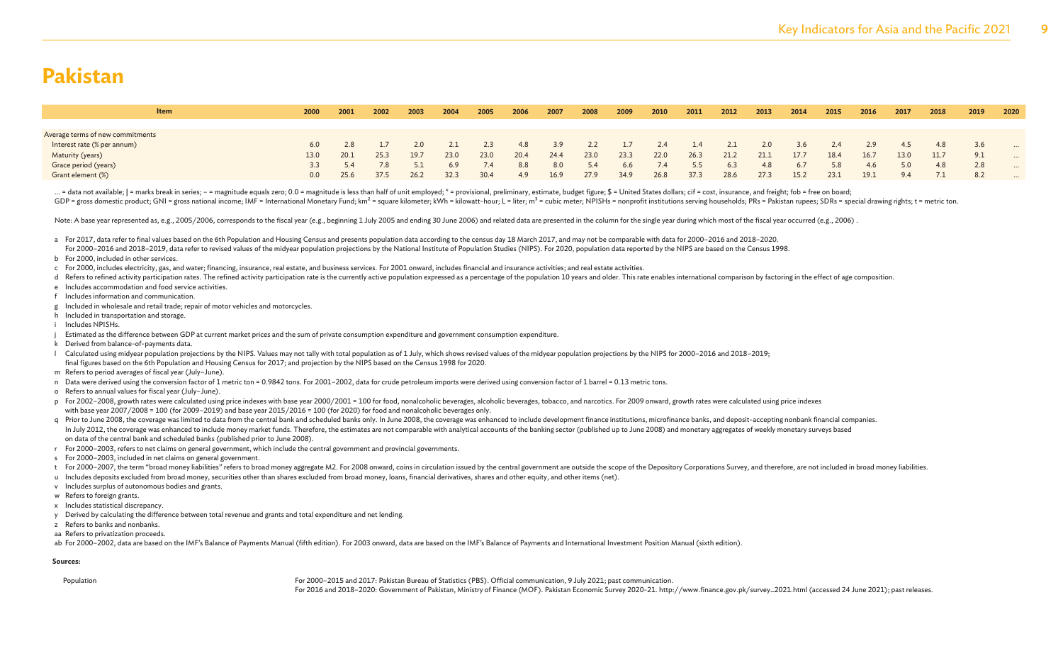| Item                             | 2000 | 2001 | 2002 | 2003   | 2004 | 2005 | 2006 | 2007 | 2008 | 2009 | 2010 | 2011 | 2012 | 2013 | 2014 | 2015 | 2016 | 2017 | 2018 | 2019 | 2020     |
|----------------------------------|------|------|------|--------|------|------|------|------|------|------|------|------|------|------|------|------|------|------|------|------|----------|
|                                  |      |      |      |        |      |      |      |      |      |      |      |      |      |      |      |      |      |      |      |      |          |
| Average terms of new commitments |      |      |      |        |      |      |      |      |      |      |      |      |      |      |      |      |      |      |      |      |          |
| Interest rate (% per annum)      | 6.0  | 2.8  |      | 2.0    |      | 2.3  | 4.8  | 3.9  | 2.2  |      | 2.4  | 1.4  | 2.1  | 2.0  | 3.6  | 2.4  | 2.9  |      | 4.8  |      | $\cdots$ |
| Maturity (years)                 | 13.0 | 20.1 | 25.3 | 19.7   | 23.0 | 23.0 | 20.4 | 24.4 | 23.0 | 23.3 | 22.0 | 26.3 | 21.2 | 21.1 | 17.7 | 18.4 | 16.7 | 13.0 | 11.7 | 9.1  | $\cdots$ |
| Grace period (years)             | 3.3  |      | 7.8  | $\sim$ | 6.9  | 7.4  | 8.8  | 8.0  | 5.4  | 6.6  | 7.4  | 5.5  | 6.3  | 4.8  | 6.7  | 5.8  | 4.6  | 5.0  | 4.8  | 2.8  | $\cdots$ |
| Grant element (%)                | 0.0  | 25.6 | 37.5 | 26.2   | 32.3 | 30.4 | 4.9  | 16.9 | 27.9 | 34.9 | 26.8 | 37.3 | 28.6 | 27.3 | 15.2 | 23.1 | 19.1 | 9.4  |      | 8.2  | $\cdots$ |

... = data not available; | = marks break in series; - = magnitude equals zero; 0.0 = magnitude is less than half of unit employed; \* = provisional, preliminary, estimate, budget figure; \$ = United States dollars; cif = co GDP = gross domestic product; GNI = gross national income; IMF = International Monetary Fund; km<sup>2</sup> = square kilometer; kWh = kilowatt-hour; L = liter; m<sup>3</sup> = cubic meter; NPISHs = nonprofit institutions serving households

Note: A base year represented as, e.g., 2005/2006, corresponds to the fiscal year (e.g., beginning 1 July 2005 and ending 30 June 2006) and related data are presented in the column for the single year during which most of

a For 2017, data refer to final values based on the 6th Population and Housing Census and presents population data according to the census day 18 March 2017, and may not be comparable with data for 2000–2016 and 2018–2020.

For 2000-2016 and 2018-2019, data refer to revised values of the midyear population projections by the National Institute of Population Studies (NIPS). For 2020, population data reported by the NIPS are based on the Census

- b For 2000, included in other services.
- c For 2000, includes electricity, gas, and water; financing, insurance, real estate, and business services. For 2001 onward, includes financial and insurance activities; and real estate activities.
- d Refers to refined activity participation rates. The refined activity participation rate is the currently active population expressed as a percentage of the population 10 years and older. This rate enables international c
- e Includes accommodation and food service activities.
- Includes information and communication.
- g Included in wholesale and retail trade; repair of motor vehicles and motorcycles.
- h Included in transportation and storage.
- i Includes NPISHs.
- Estimated as the difference between GDP at current market prices and the sum of private consumption expenditure and government consumption expenditure.
- k Derived from balance-of-payments data.
- Calculated using midvear population projections by the NIPS. Values may not tally with total population as of 1 July, which shows revised values of the midyear population projections by the NIPS for 2000-2016 and 2018-2019 final figures based on the 6th Population and Housing Census for 2017; and projection by the NIPS based on the Census 1998 for 2020.
- m Refers to period averages of fiscal year (July–June).
- n Data were derived using the conversion factor of 1 metric ton = 0.9842 tons. For 2001–2002, data for crude petroleum imports were derived using conversion factor of 1 barrel = 0.13 metric tons.
- o Refers to annual values for fiscal year (July–June).
- p For 2002-2008, growth rates were calculated using price indexes with base year 2000/2001 = 100 for food, nonalcoholic beverages, alcoholic beverages, tobacco, and narcotics. For 2009 onward, growth rates were calculated with base year 2007/2008 = 100 (for 2009–2019) and base year 2015/2016 = 100 (for 2020) for food and nonalcoholic beverages only.
- q Prior to June 2008, the coverage was limited to data from the central bank and scheduled banks only. In June 2008, the coverage was enhanced to include development finance institutions, microfinance banks, and deposit-ac In July 2012, the coverage was enhanced to include money market funds. Therefore, the estimates are not comparable with analytical accounts of the banking sector (published up to June 2008) and monetary aggregates of weekl on data of the central bank and scheduled banks (published prior to June 2008).
- r For 2000–2003, refers to net claims on general government, which include the central government and provincial governments.
- s For 2000–2003, included in net claims on general government.
- t For 2000-2007, the term "broad money liabilities" refers to broad money aggregate M2. For 2008 onward, coins in circulation issued by the central government are outside the scope of the Depository Corporations Survey, an
- u Includes deposits excluded from broad money, securities other than shares excluded from broad money, loans, financial derivatives, shares and other equity, and other items (net).
- v Includes surplus of autonomous bodies and grants.
- w Refers to foreign grants.
- x Includes statistical discrepancy.
- y Derived by calculating the difference between total revenue and grants and total expenditure and net lending.
- z Refers to banks and nonbanks.
- aa Refers to privatization proceeds.
- ab For 2000-2002, data are based on the IMF's Balance of Payments Manual (fifth edition). For 2003 onward, data are based on the IMF's Balance of Payments and International Investment Position Manual (sixth edition).

#### **Sources:**

Population For 2000–2015 and 2017: Pakistan Bureau of Statistics (PBS). Official communication, 9 July 2021; past communication.

For 2016 and 2018–2020: Government of Pakistan, Ministry of Finance (MOF). Pakistan Economic Survey 2020-21. http://www.finance.gov.pk/survey\_2021.html (accessed 24 June 2021); past releases.